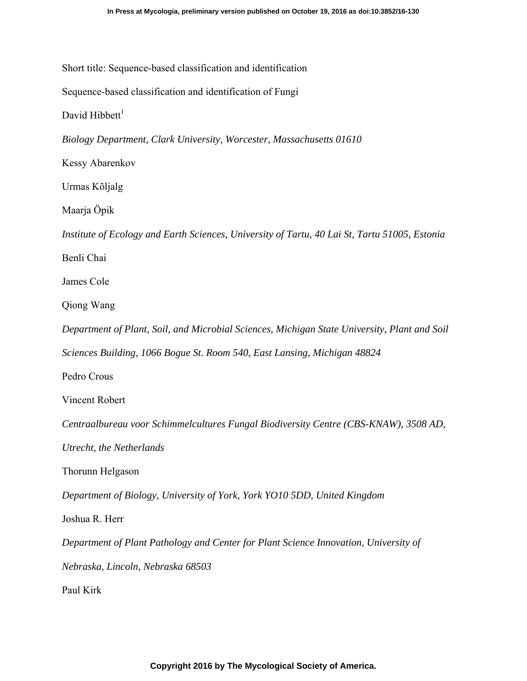Short title: Sequence-based classification and identification Sequence-based classification and identification of Fungi David Hibbett $<sup>1</sup>$ </sup> *Biology Department, Clark University, Worcester, Massachusetts 01610*  Kessy Abarenkov Urmas Kõljalg Maarja Öpik *Institute of Ecology and Earth Sciences, University of Tartu, 40 Lai St, Tartu 51005, Estonia*  Benli Chai James Cole Qiong Wang *Department of Plant, Soil, and Microbial Sciences, Michigan State University, Plant and Soil Sciences Building, 1066 Bogue St. Room 540, East Lansing, Michigan 48824*  Pedro Crous Vincent Robert *Centraalbureau voor Schimmelcultures Fungal Biodiversity Centre (CBS-KNAW), 3508 AD, Utrecht, the Netherlands*  Thorunn Helgason *Department of Biology, University of York, York YO10 5DD, United Kingdom*  Joshua R. Herr *Department of Plant Pathology and Center for Plant Science Innovation, University of Nebraska, Lincoln, Nebraska 68503*  Paul Kirk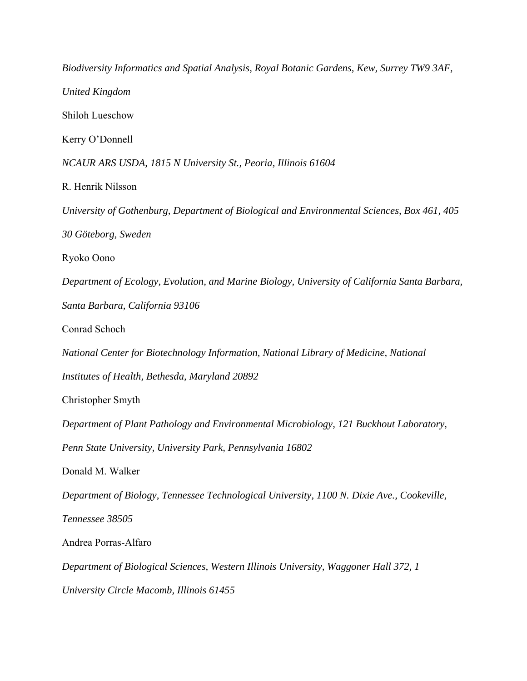*Biodiversity Informatics and Spatial Analysis, Royal Botanic Gardens, Kew, Surrey TW9 3AF, United Kingdom*  Shiloh Lueschow Kerry O'Donnell *NCAUR ARS USDA, 1815 N University St., Peoria, Illinois 61604*  R. Henrik Nilsson *University of Gothenburg, Department of Biological and Environmental Sciences, Box 461, 405 30 Göteborg, Sweden*  Ryoko Oono *Department of Ecology, Evolution, and Marine Biology, University of California Santa Barbara, Santa Barbara, California 93106*  Conrad Schoch *National Center for Biotechnology Information, National Library of Medicine, National Institutes of Health, Bethesda, Maryland 20892*  Christopher Smyth *Department of Plant Pathology and Environmental Microbiology, 121 Buckhout Laboratory, Penn State University, University Park, Pennsylvania 16802*  Donald M. Walker *Department of Biology, Tennessee Technological University, 1100 N. Dixie Ave., Cookeville, Tennessee 38505*  Andrea Porras-Alfaro *Department of Biological Sciences, Western Illinois University, Waggoner Hall 372, 1 University Circle Macomb, Illinois 61455*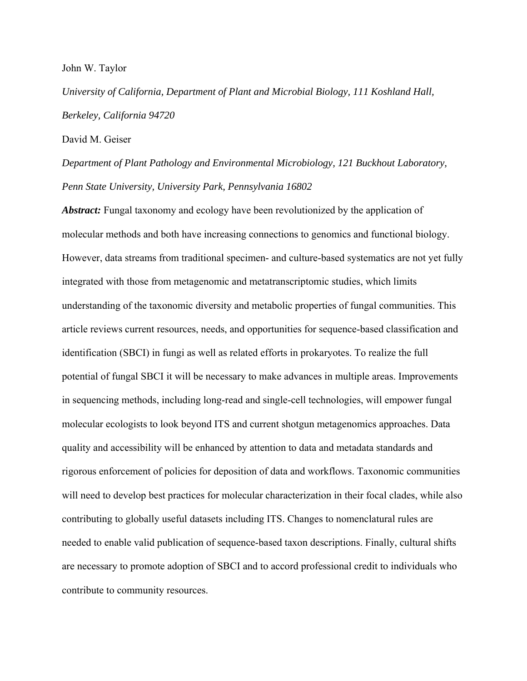## John W. Taylor

*University of California, Department of Plant and Microbial Biology, 111 Koshland Hall, Berkeley, California 94720* 

David M. Geiser

*Department of Plant Pathology and Environmental Microbiology, 121 Buckhout Laboratory, Penn State University, University Park, Pennsylvania 16802* 

Abstract: Fungal taxonomy and ecology have been revolutionized by the application of molecular methods and both have increasing connections to genomics and functional biology. However, data streams from traditional specimen- and culture-based systematics are not yet fully integrated with those from metagenomic and metatranscriptomic studies, which limits understanding of the taxonomic diversity and metabolic properties of fungal communities. This article reviews current resources, needs, and opportunities for sequence-based classification and identification (SBCI) in fungi as well as related efforts in prokaryotes. To realize the full potential of fungal SBCI it will be necessary to make advances in multiple areas. Improvements in sequencing methods, including long-read and single-cell technologies, will empower fungal molecular ecologists to look beyond ITS and current shotgun metagenomics approaches. Data quality and accessibility will be enhanced by attention to data and metadata standards and rigorous enforcement of policies for deposition of data and workflows. Taxonomic communities will need to develop best practices for molecular characterization in their focal clades, while also contributing to globally useful datasets including ITS. Changes to nomenclatural rules are needed to enable valid publication of sequence-based taxon descriptions. Finally, cultural shifts are necessary to promote adoption of SBCI and to accord professional credit to individuals who contribute to community resources.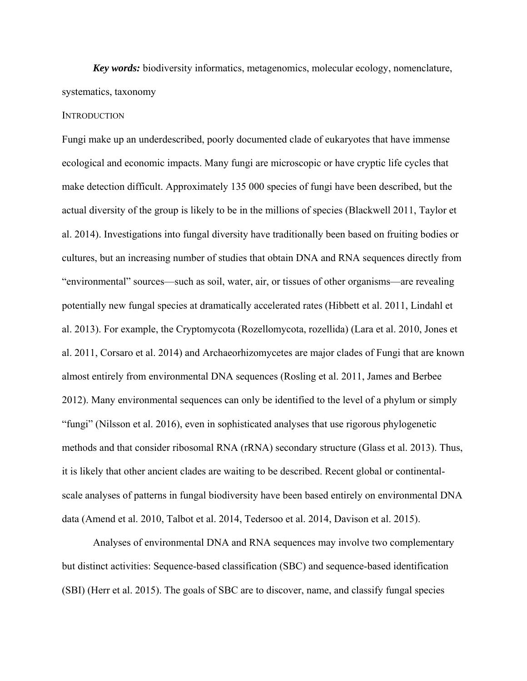*Key words:* biodiversity informatics, metagenomics, molecular ecology, nomenclature, systematics, taxonomy

# **INTRODUCTION**

Fungi make up an underdescribed, poorly documented clade of eukaryotes that have immense ecological and economic impacts. Many fungi are microscopic or have cryptic life cycles that make detection difficult. Approximately 135 000 species of fungi have been described, but the actual diversity of the group is likely to be in the millions of species (Blackwell 2011, Taylor et al. 2014). Investigations into fungal diversity have traditionally been based on fruiting bodies or cultures, but an increasing number of studies that obtain DNA and RNA sequences directly from "environmental" sources—such as soil, water, air, or tissues of other organisms—are revealing potentially new fungal species at dramatically accelerated rates (Hibbett et al. 2011, Lindahl et al. 2013). For example, the Cryptomycota (Rozellomycota, rozellida) (Lara et al. 2010, Jones et al. 2011, Corsaro et al. 2014) and Archaeorhizomycetes are major clades of Fungi that are known almost entirely from environmental DNA sequences (Rosling et al. 2011, James and Berbee 2012). Many environmental sequences can only be identified to the level of a phylum or simply "fungi" (Nilsson et al. 2016), even in sophisticated analyses that use rigorous phylogenetic methods and that consider ribosomal RNA (rRNA) secondary structure (Glass et al. 2013). Thus, it is likely that other ancient clades are waiting to be described. Recent global or continentalscale analyses of patterns in fungal biodiversity have been based entirely on environmental DNA data (Amend et al. 2010, Talbot et al. 2014, Tedersoo et al. 2014, Davison et al. 2015).

Analyses of environmental DNA and RNA sequences may involve two complementary but distinct activities: Sequence-based classification (SBC) and sequence-based identification (SBI) (Herr et al. 2015). The goals of SBC are to discover, name, and classify fungal species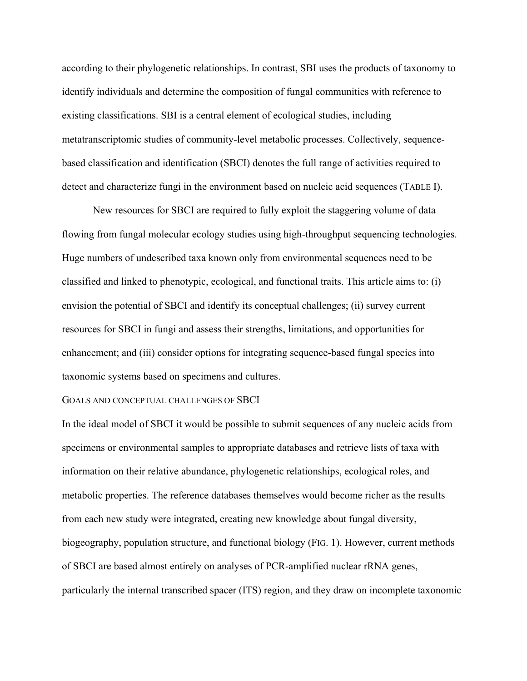according to their phylogenetic relationships. In contrast, SBI uses the products of taxonomy to identify individuals and determine the composition of fungal communities with reference to existing classifications. SBI is a central element of ecological studies, including metatranscriptomic studies of community-level metabolic processes. Collectively, sequencebased classification and identification (SBCI) denotes the full range of activities required to detect and characterize fungi in the environment based on nucleic acid sequences (TABLE I).

New resources for SBCI are required to fully exploit the staggering volume of data flowing from fungal molecular ecology studies using high-throughput sequencing technologies. Huge numbers of undescribed taxa known only from environmental sequences need to be classified and linked to phenotypic, ecological, and functional traits. This article aims to: (i) envision the potential of SBCI and identify its conceptual challenges; (ii) survey current resources for SBCI in fungi and assess their strengths, limitations, and opportunities for enhancement; and (iii) consider options for integrating sequence-based fungal species into taxonomic systems based on specimens and cultures.

## GOALS AND CONCEPTUAL CHALLENGES OF SBCI

In the ideal model of SBCI it would be possible to submit sequences of any nucleic acids from specimens or environmental samples to appropriate databases and retrieve lists of taxa with information on their relative abundance, phylogenetic relationships, ecological roles, and metabolic properties. The reference databases themselves would become richer as the results from each new study were integrated, creating new knowledge about fungal diversity, biogeography, population structure, and functional biology (FIG. 1). However, current methods of SBCI are based almost entirely on analyses of PCR-amplified nuclear rRNA genes, particularly the internal transcribed spacer (ITS) region, and they draw on incomplete taxonomic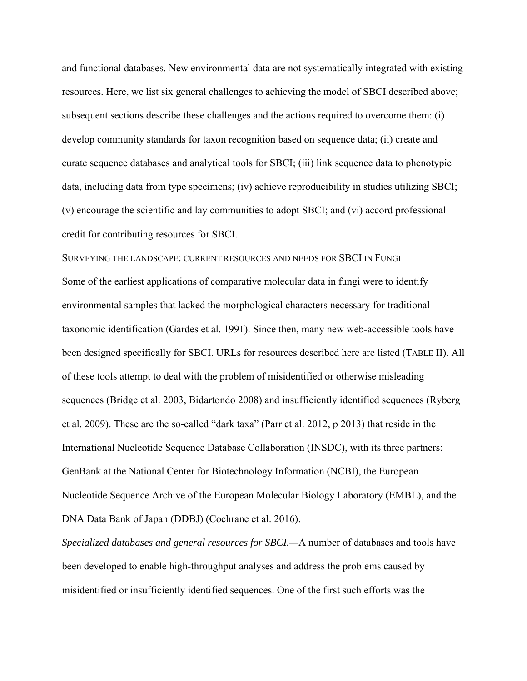and functional databases. New environmental data are not systematically integrated with existing resources. Here, we list six general challenges to achieving the model of SBCI described above; subsequent sections describe these challenges and the actions required to overcome them: (i) develop community standards for taxon recognition based on sequence data; (ii) create and curate sequence databases and analytical tools for SBCI; (iii) link sequence data to phenotypic data, including data from type specimens; (iv) achieve reproducibility in studies utilizing SBCI; (v) encourage the scientific and lay communities to adopt SBCI; and (vi) accord professional credit for contributing resources for SBCI.

SURVEYING THE LANDSCAPE: CURRENT RESOURCES AND NEEDS FOR SBCI IN FUNGI Some of the earliest applications of comparative molecular data in fungi were to identify environmental samples that lacked the morphological characters necessary for traditional taxonomic identification (Gardes et al. 1991). Since then, many new web-accessible tools have been designed specifically for SBCI. URLs for resources described here are listed (TABLE II). All of these tools attempt to deal with the problem of misidentified or otherwise misleading sequences (Bridge et al. 2003, Bidartondo 2008) and insufficiently identified sequences (Ryberg et al. 2009). These are the so-called "dark taxa" (Parr et al. 2012, p 2013) that reside in the International Nucleotide Sequence Database Collaboration (INSDC), with its three partners: GenBank at the National Center for Biotechnology Information (NCBI), the European Nucleotide Sequence Archive of the European Molecular Biology Laboratory (EMBL), and the DNA Data Bank of Japan (DDBJ) (Cochrane et al. 2016).

*Specialized databases and general resources for SBCI.—*A number of databases and tools have been developed to enable high-throughput analyses and address the problems caused by misidentified or insufficiently identified sequences. One of the first such efforts was the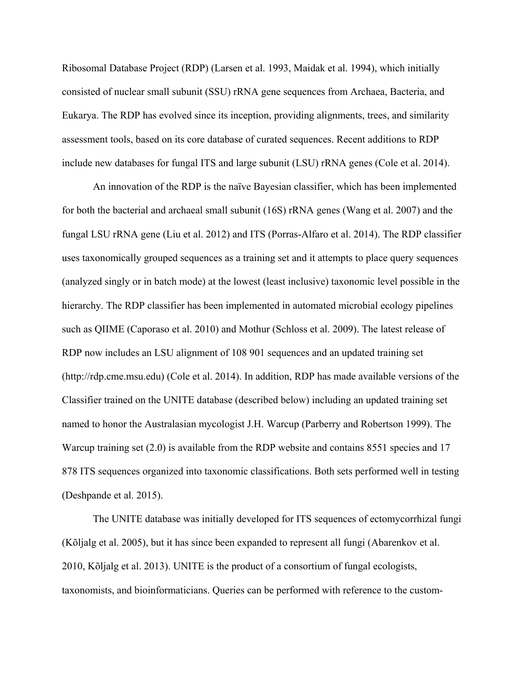Ribosomal Database Project (RDP) (Larsen et al. 1993, Maidak et al. 1994), which initially consisted of nuclear small subunit (SSU) rRNA gene sequences from Archaea, Bacteria, and Eukarya. The RDP has evolved since its inception, providing alignments, trees, and similarity assessment tools, based on its core database of curated sequences. Recent additions to RDP include new databases for fungal ITS and large subunit (LSU) rRNA genes (Cole et al. 2014).

An innovation of the RDP is the naïve Bayesian classifier, which has been implemented for both the bacterial and archaeal small subunit (16S) rRNA genes (Wang et al. 2007) and the fungal LSU rRNA gene (Liu et al. 2012) and ITS (Porras-Alfaro et al. 2014). The RDP classifier uses taxonomically grouped sequences as a training set and it attempts to place query sequences (analyzed singly or in batch mode) at the lowest (least inclusive) taxonomic level possible in the hierarchy. The RDP classifier has been implemented in automated microbial ecology pipelines such as QIIME (Caporaso et al. 2010) and Mothur (Schloss et al. 2009). The latest release of RDP now includes an LSU alignment of 108 901 sequences and an updated training set (http://rdp.cme.msu.edu) (Cole et al. 2014). In addition, RDP has made available versions of the Classifier trained on the UNITE database (described below) including an updated training set named to honor the Australasian mycologist J.H. Warcup (Parberry and Robertson 1999). The Warcup training set (2.0) is available from the RDP website and contains 8551 species and 17 878 ITS sequences organized into taxonomic classifications. Both sets performed well in testing (Deshpande et al. 2015).

The UNITE database was initially developed for ITS sequences of ectomycorrhizal fungi (Kõljalg et al. 2005), but it has since been expanded to represent all fungi (Abarenkov et al. 2010, Kõljalg et al. 2013). UNITE is the product of a consortium of fungal ecologists, taxonomists, and bioinformaticians. Queries can be performed with reference to the custom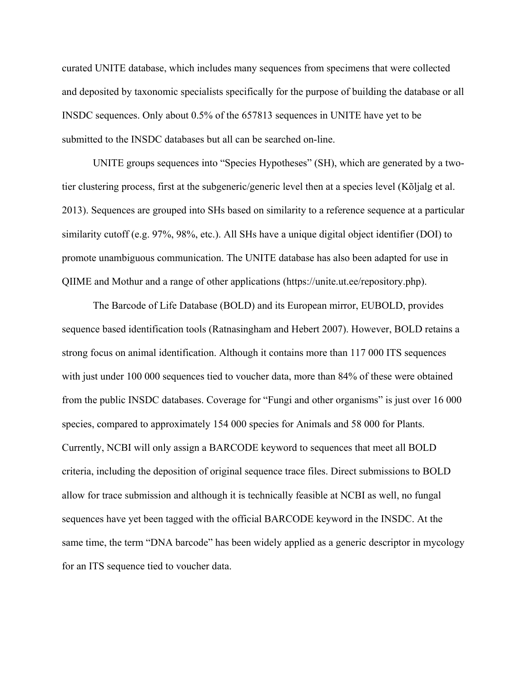curated UNITE database, which includes many sequences from specimens that were collected and deposited by taxonomic specialists specifically for the purpose of building the database or all INSDC sequences. Only about 0.5% of the 657813 sequences in UNITE have yet to be submitted to the INSDC databases but all can be searched on-line.

UNITE groups sequences into "Species Hypotheses" (SH), which are generated by a twotier clustering process, first at the subgeneric/generic level then at a species level (Kõljalg et al. 2013). Sequences are grouped into SHs based on similarity to a reference sequence at a particular similarity cutoff (e.g. 97%, 98%, etc.). All SHs have a unique digital object identifier (DOI) to promote unambiguous communication. The UNITE database has also been adapted for use in QIIME and Mothur and a range of other applications (https://unite.ut.ee/repository.php).

The Barcode of Life Database (BOLD) and its European mirror, EUBOLD, provides sequence based identification tools (Ratnasingham and Hebert 2007). However, BOLD retains a strong focus on animal identification. Although it contains more than 117 000 ITS sequences with just under 100 000 sequences tied to voucher data, more than 84% of these were obtained from the public INSDC databases. Coverage for "Fungi and other organisms" is just over 16 000 species, compared to approximately 154 000 species for Animals and 58 000 for Plants. Currently, NCBI will only assign a BARCODE keyword to sequences that meet all BOLD criteria, including the deposition of original sequence trace files. Direct submissions to BOLD allow for trace submission and although it is technically feasible at NCBI as well, no fungal sequences have yet been tagged with the official BARCODE keyword in the INSDC. At the same time, the term "DNA barcode" has been widely applied as a generic descriptor in mycology for an ITS sequence tied to voucher data.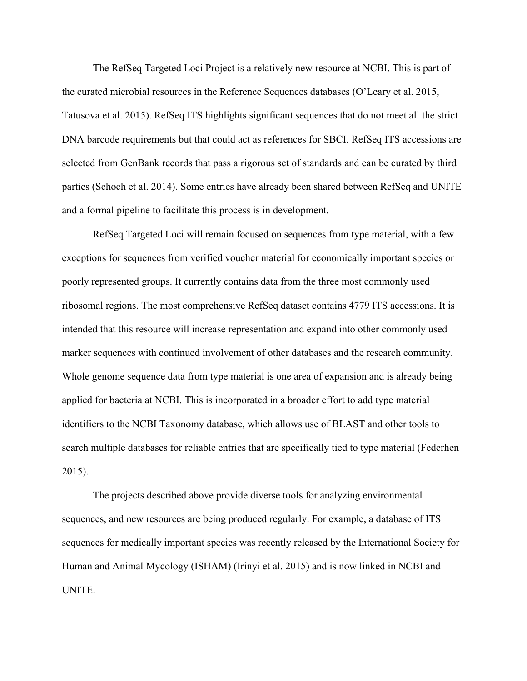The RefSeq Targeted Loci Project is a relatively new resource at NCBI. This is part of the curated microbial resources in the Reference Sequences databases (O'Leary et al. 2015, Tatusova et al. 2015). RefSeq ITS highlights significant sequences that do not meet all the strict DNA barcode requirements but that could act as references for SBCI. RefSeq ITS accessions are selected from GenBank records that pass a rigorous set of standards and can be curated by third parties (Schoch et al. 2014). Some entries have already been shared between RefSeq and UNITE and a formal pipeline to facilitate this process is in development.

RefSeq Targeted Loci will remain focused on sequences from type material, with a few exceptions for sequences from verified voucher material for economically important species or poorly represented groups. It currently contains data from the three most commonly used ribosomal regions. The most comprehensive RefSeq dataset contains 4779 ITS accessions. It is intended that this resource will increase representation and expand into other commonly used marker sequences with continued involvement of other databases and the research community. Whole genome sequence data from type material is one area of expansion and is already being applied for bacteria at NCBI. This is incorporated in a broader effort to add type material identifiers to the NCBI Taxonomy database, which allows use of BLAST and other tools to search multiple databases for reliable entries that are specifically tied to type material (Federhen 2015).

The projects described above provide diverse tools for analyzing environmental sequences, and new resources are being produced regularly. For example, a database of ITS sequences for medically important species was recently released by the International Society for Human and Animal Mycology (ISHAM) (Irinyi et al. 2015) and is now linked in NCBI and UNITE.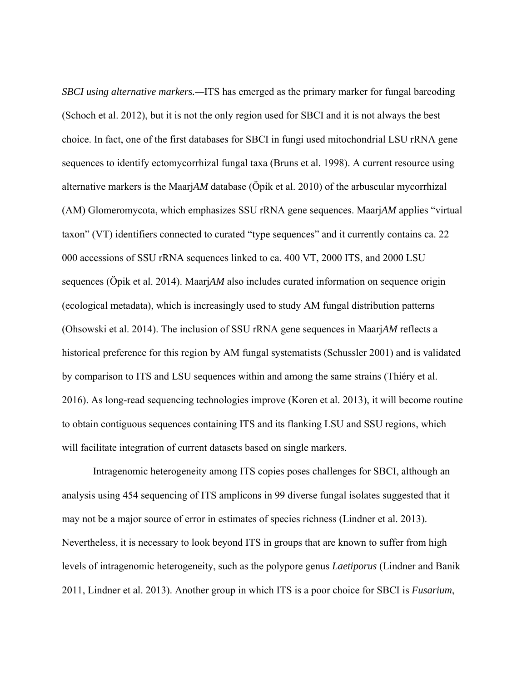*SBCI using alternative markers.—*ITS has emerged as the primary marker for fungal barcoding (Schoch et al. 2012), but it is not the only region used for SBCI and it is not always the best choice. In fact, one of the first databases for SBCI in fungi used mitochondrial LSU rRNA gene sequences to identify ectomycorrhizal fungal taxa (Bruns et al. 1998). A current resource using alternative markers is the Maarj*AM* database (Öpik et al. 2010) of the arbuscular mycorrhizal (AM) Glomeromycota, which emphasizes SSU rRNA gene sequences. Maarj*AM* applies "virtual taxon" (VT) identifiers connected to curated "type sequences" and it currently contains ca. 22 000 accessions of SSU rRNA sequences linked to ca. 400 VT, 2000 ITS, and 2000 LSU sequences (Öpik et al. 2014). Maarj*AM* also includes curated information on sequence origin (ecological metadata), which is increasingly used to study AM fungal distribution patterns (Ohsowski et al. 2014). The inclusion of SSU rRNA gene sequences in Maarj*AM* reflects a historical preference for this region by AM fungal systematists (Schussler 2001) and is validated by comparison to ITS and LSU sequences within and among the same strains (Thiéry et al. 2016). As long-read sequencing technologies improve (Koren et al. 2013), it will become routine to obtain contiguous sequences containing ITS and its flanking LSU and SSU regions, which will facilitate integration of current datasets based on single markers.

 Intragenomic heterogeneity among ITS copies poses challenges for SBCI, although an analysis using 454 sequencing of ITS amplicons in 99 diverse fungal isolates suggested that it may not be a major source of error in estimates of species richness (Lindner et al. 2013). Nevertheless, it is necessary to look beyond ITS in groups that are known to suffer from high levels of intragenomic heterogeneity, such as the polypore genus *Laetiporus* (Lindner and Banik 2011, Lindner et al. 2013). Another group in which ITS is a poor choice for SBCI is *Fusarium*,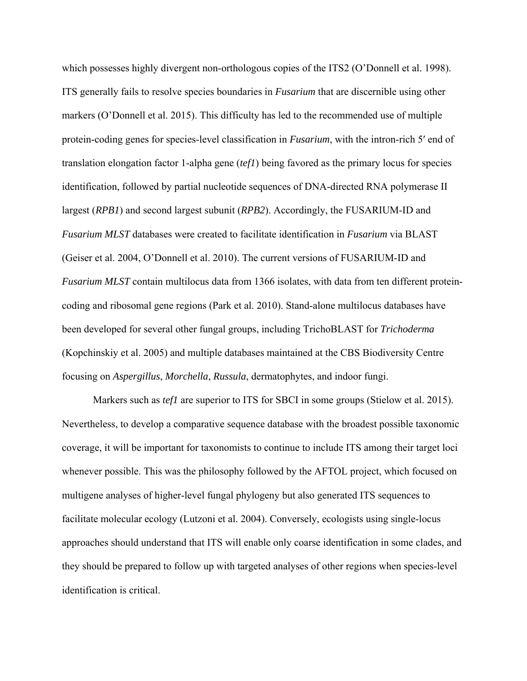which possesses highly divergent non-orthologous copies of the ITS2 (O'Donnell et al. 1998). ITS generally fails to resolve species boundaries in *Fusarium* that are discernible using other markers (O'Donnell et al. 2015). This difficulty has led to the recommended use of multiple protein-coding genes for species-level classification in *Fusarium*, with the intron-rich 5′ end of translation elongation factor 1-alpha gene (*tef1*) being favored as the primary locus for species identification, followed by partial nucleotide sequences of DNA-directed RNA polymerase II largest (*RPB1*) and second largest subunit (*RPB2*). Accordingly, the FUSARIUM-ID and *Fusarium MLST* databases were created to facilitate identification in *Fusarium* via BLAST (Geiser et al. 2004, O'Donnell et al. 2010). The current versions of FUSARIUM-ID and *Fusarium MLST* contain multilocus data from 1366 isolates, with data from ten different proteincoding and ribosomal gene regions (Park et al. 2010). Stand-alone multilocus databases have been developed for several other fungal groups, including TrichoBLAST for *Trichoderma* (Kopchinskiy et al. 2005) and multiple databases maintained at the CBS Biodiversity Centre focusing on *Aspergillus*, *Morchella*, *Russula*, dermatophytes, and indoor fungi.

Markers such as *tef1* are superior to ITS for SBCI in some groups (Stielow et al. 2015). Nevertheless, to develop a comparative sequence database with the broadest possible taxonomic coverage, it will be important for taxonomists to continue to include ITS among their target loci whenever possible. This was the philosophy followed by the AFTOL project, which focused on multigene analyses of higher-level fungal phylogeny but also generated ITS sequences to facilitate molecular ecology (Lutzoni et al. 2004). Conversely, ecologists using single-locus approaches should understand that ITS will enable only coarse identification in some clades, and they should be prepared to follow up with targeted analyses of other regions when species-level identification is critical.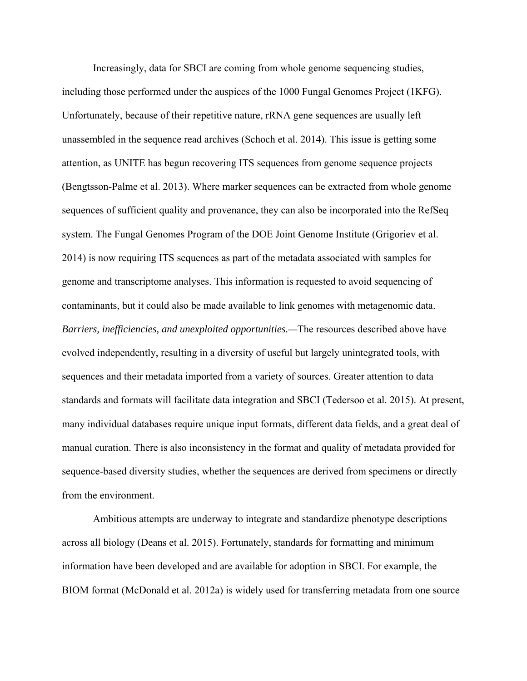Increasingly, data for SBCI are coming from whole genome sequencing studies, including those performed under the auspices of the 1000 Fungal Genomes Project (1KFG). Unfortunately, because of their repetitive nature, rRNA gene sequences are usually left unassembled in the sequence read archives (Schoch et al. 2014). This issue is getting some attention, as UNITE has begun recovering ITS sequences from genome sequence projects (Bengtsson-Palme et al. 2013). Where marker sequences can be extracted from whole genome sequences of sufficient quality and provenance, they can also be incorporated into the RefSeq system. The Fungal Genomes Program of the DOE Joint Genome Institute (Grigoriev et al. 2014) is now requiring ITS sequences as part of the metadata associated with samples for genome and transcriptome analyses. This information is requested to avoid sequencing of contaminants, but it could also be made available to link genomes with metagenomic data. *Barriers, inefficiencies, and unexploited opportunities.—*The resources described above have evolved independently, resulting in a diversity of useful but largely unintegrated tools, with sequences and their metadata imported from a variety of sources. Greater attention to data standards and formats will facilitate data integration and SBCI (Tedersoo et al. 2015). At present, many individual databases require unique input formats, different data fields, and a great deal of manual curation. There is also inconsistency in the format and quality of metadata provided for sequence-based diversity studies, whether the sequences are derived from specimens or directly from the environment.

Ambitious attempts are underway to integrate and standardize phenotype descriptions across all biology (Deans et al. 2015). Fortunately, standards for formatting and minimum information have been developed and are available for adoption in SBCI. For example, the BIOM format (McDonald et al. 2012a) is widely used for transferring metadata from one source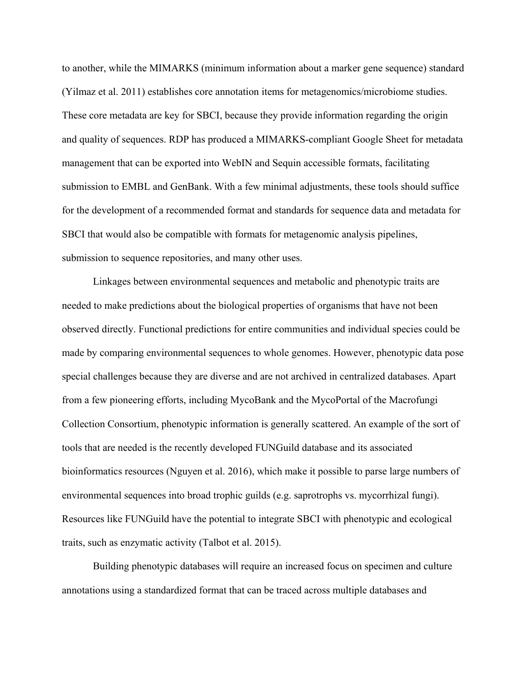to another, while the MIMARKS (minimum information about a marker gene sequence) standard (Yilmaz et al. 2011) establishes core annotation items for metagenomics/microbiome studies. These core metadata are key for SBCI, because they provide information regarding the origin and quality of sequences. RDP has produced a MIMARKS-compliant Google Sheet for metadata management that can be exported into WebIN and Sequin accessible formats, facilitating submission to EMBL and GenBank. With a few minimal adjustments, these tools should suffice for the development of a recommended format and standards for sequence data and metadata for SBCI that would also be compatible with formats for metagenomic analysis pipelines, submission to sequence repositories, and many other uses.

Linkages between environmental sequences and metabolic and phenotypic traits are needed to make predictions about the biological properties of organisms that have not been observed directly. Functional predictions for entire communities and individual species could be made by comparing environmental sequences to whole genomes. However, phenotypic data pose special challenges because they are diverse and are not archived in centralized databases. Apart from a few pioneering efforts, including MycoBank and the MycoPortal of the Macrofungi Collection Consortium, phenotypic information is generally scattered. An example of the sort of tools that are needed is the recently developed FUNGuild database and its associated bioinformatics resources (Nguyen et al. 2016), which make it possible to parse large numbers of environmental sequences into broad trophic guilds (e.g. saprotrophs vs. mycorrhizal fungi). Resources like FUNGuild have the potential to integrate SBCI with phenotypic and ecological traits, such as enzymatic activity (Talbot et al. 2015).

Building phenotypic databases will require an increased focus on specimen and culture annotations using a standardized format that can be traced across multiple databases and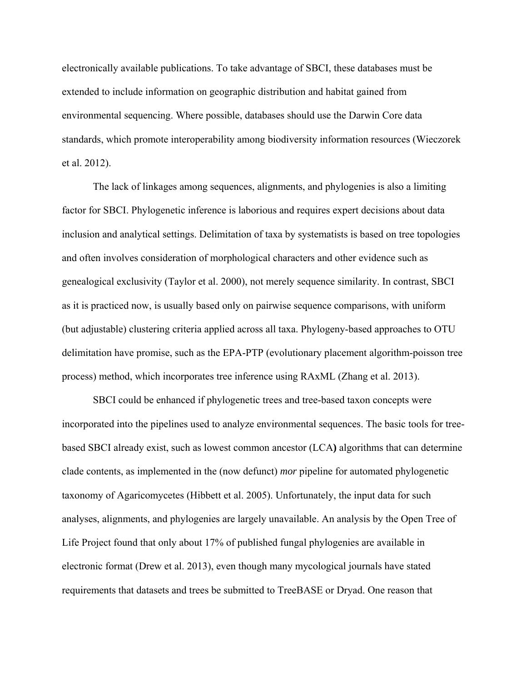electronically available publications. To take advantage of SBCI, these databases must be extended to include information on geographic distribution and habitat gained from environmental sequencing. Where possible, databases should use the Darwin Core data standards, which promote interoperability among biodiversity information resources (Wieczorek et al. 2012).

The lack of linkages among sequences, alignments, and phylogenies is also a limiting factor for SBCI. Phylogenetic inference is laborious and requires expert decisions about data inclusion and analytical settings. Delimitation of taxa by systematists is based on tree topologies and often involves consideration of morphological characters and other evidence such as genealogical exclusivity (Taylor et al. 2000), not merely sequence similarity. In contrast, SBCI as it is practiced now, is usually based only on pairwise sequence comparisons, with uniform (but adjustable) clustering criteria applied across all taxa. Phylogeny-based approaches to OTU delimitation have promise, such as the EPA-PTP (evolutionary placement algorithm-poisson tree process) method, which incorporates tree inference using RAxML (Zhang et al. 2013).

SBCI could be enhanced if phylogenetic trees and tree-based taxon concepts were incorporated into the pipelines used to analyze environmental sequences. The basic tools for treebased SBCI already exist, such as lowest common ancestor (LCA**)** algorithms that can determine clade contents, as implemented in the (now defunct) *mor* pipeline for automated phylogenetic taxonomy of Agaricomycetes (Hibbett et al. 2005). Unfortunately, the input data for such analyses, alignments, and phylogenies are largely unavailable. An analysis by the Open Tree of Life Project found that only about 17% of published fungal phylogenies are available in electronic format (Drew et al. 2013), even though many mycological journals have stated requirements that datasets and trees be submitted to TreeBASE or Dryad. One reason that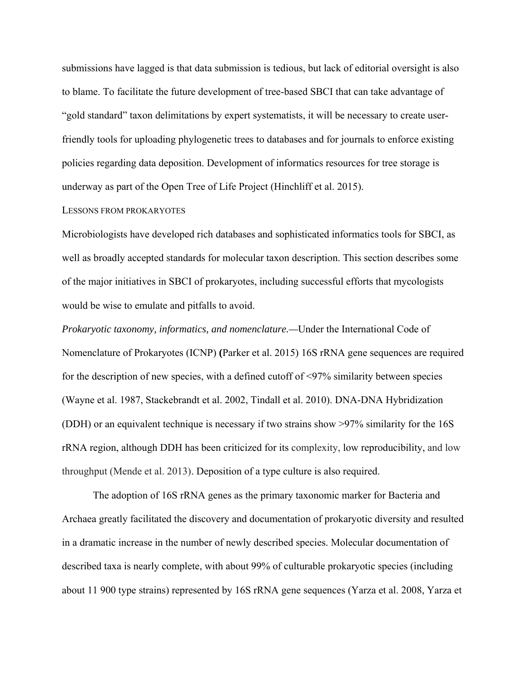submissions have lagged is that data submission is tedious, but lack of editorial oversight is also to blame. To facilitate the future development of tree-based SBCI that can take advantage of "gold standard" taxon delimitations by expert systematists, it will be necessary to create userfriendly tools for uploading phylogenetic trees to databases and for journals to enforce existing policies regarding data deposition. Development of informatics resources for tree storage is underway as part of the Open Tree of Life Project (Hinchliff et al. 2015).

#### LESSONS FROM PROKARYOTES

Microbiologists have developed rich databases and sophisticated informatics tools for SBCI, as well as broadly accepted standards for molecular taxon description. This section describes some of the major initiatives in SBCI of prokaryotes, including successful efforts that mycologists would be wise to emulate and pitfalls to avoid.

*Prokaryotic taxonomy, informatics, and nomenclature.—*Under the International Code of Nomenclature of Prokaryotes (ICNP) **(**Parker et al. 2015) 16S rRNA gene sequences are required for the description of new species, with a defined cutoff of <97% similarity between species (Wayne et al. 1987, Stackebrandt et al. 2002, Tindall et al. 2010). DNA-DNA Hybridization (DDH) or an equivalent technique is necessary if two strains show >97% similarity for the 16S rRNA region, although DDH has been criticized for its complexity, low reproducibility, and low throughput (Mende et al. 2013). Deposition of a type culture is also required.

The adoption of 16S rRNA genes as the primary taxonomic marker for Bacteria and Archaea greatly facilitated the discovery and documentation of prokaryotic diversity and resulted in a dramatic increase in the number of newly described species. Molecular documentation of described taxa is nearly complete, with about 99% of culturable prokaryotic species (including about 11 900 type strains) represented by 16S rRNA gene sequences (Yarza et al. 2008, Yarza et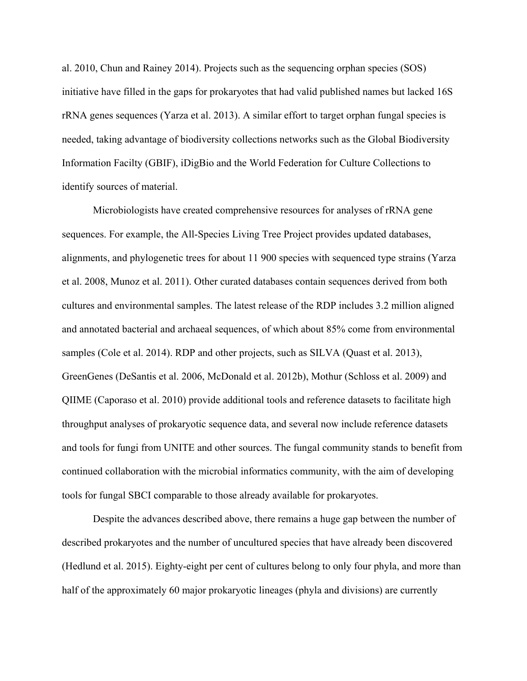al. 2010, Chun and Rainey 2014). Projects such as the sequencing orphan species (SOS) initiative have filled in the gaps for prokaryotes that had valid published names but lacked 16S rRNA genes sequences (Yarza et al. 2013). A similar effort to target orphan fungal species is needed, taking advantage of biodiversity collections networks such as the Global Biodiversity Information Facilty (GBIF), iDigBio and the World Federation for Culture Collections to identify sources of material.

Microbiologists have created comprehensive resources for analyses of rRNA gene sequences. For example, the All-Species Living Tree Project provides updated databases, alignments, and phylogenetic trees for about 11 900 species with sequenced type strains (Yarza et al. 2008, Munoz et al. 2011). Other curated databases contain sequences derived from both cultures and environmental samples. The latest release of the RDP includes 3.2 million aligned and annotated bacterial and archaeal sequences, of which about 85% come from environmental samples (Cole et al. 2014). RDP and other projects, such as SILVA (Quast et al. 2013), GreenGenes (DeSantis et al. 2006, McDonald et al. 2012b), Mothur (Schloss et al. 2009) and QIIME (Caporaso et al. 2010) provide additional tools and reference datasets to facilitate high throughput analyses of prokaryotic sequence data, and several now include reference datasets and tools for fungi from UNITE and other sources. The fungal community stands to benefit from continued collaboration with the microbial informatics community, with the aim of developing tools for fungal SBCI comparable to those already available for prokaryotes.

Despite the advances described above, there remains a huge gap between the number of described prokaryotes and the number of uncultured species that have already been discovered (Hedlund et al. 2015). Eighty-eight per cent of cultures belong to only four phyla, and more than half of the approximately 60 major prokaryotic lineages (phyla and divisions) are currently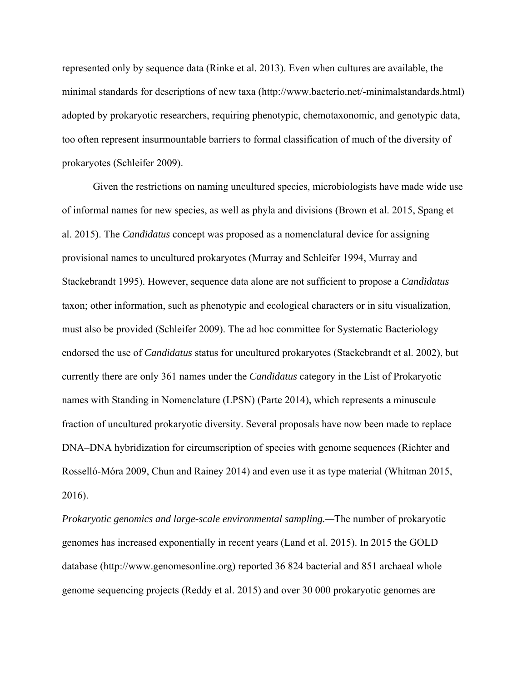represented only by sequence data (Rinke et al. 2013). Even when cultures are available, the minimal standards for descriptions of new taxa (http://www.bacterio.net/-minimalstandards.html) adopted by prokaryotic researchers, requiring phenotypic, chemotaxonomic, and genotypic data, too often represent insurmountable barriers to formal classification of much of the diversity of prokaryotes (Schleifer 2009).

Given the restrictions on naming uncultured species, microbiologists have made wide use of informal names for new species, as well as phyla and divisions (Brown et al. 2015, Spang et al. 2015). The *Candidatus* concept was proposed as a nomenclatural device for assigning provisional names to uncultured prokaryotes (Murray and Schleifer 1994, Murray and Stackebrandt 1995). However, sequence data alone are not sufficient to propose a *Candidatus* taxon; other information, such as phenotypic and ecological characters or in situ visualization, must also be provided (Schleifer 2009). The ad hoc committee for Systematic Bacteriology endorsed the use of *Candidatus* status for uncultured prokaryotes (Stackebrandt et al. 2002), but currently there are only 361 names under the *Candidatus* category in the List of Prokaryotic names with Standing in Nomenclature (LPSN) (Parte 2014), which represents a minuscule fraction of uncultured prokaryotic diversity. Several proposals have now been made to replace DNA–DNA hybridization for circumscription of species with genome sequences (Richter and Rosselló-Móra 2009, Chun and Rainey 2014) and even use it as type material (Whitman 2015, 2016).

*Prokaryotic genomics and large-scale environmental sampling.—*The number of prokaryotic genomes has increased exponentially in recent years (Land et al. 2015). In 2015 the GOLD database (http://www.genomesonline.org) reported 36 824 bacterial and 851 archaeal whole genome sequencing projects (Reddy et al. 2015) and over 30 000 prokaryotic genomes are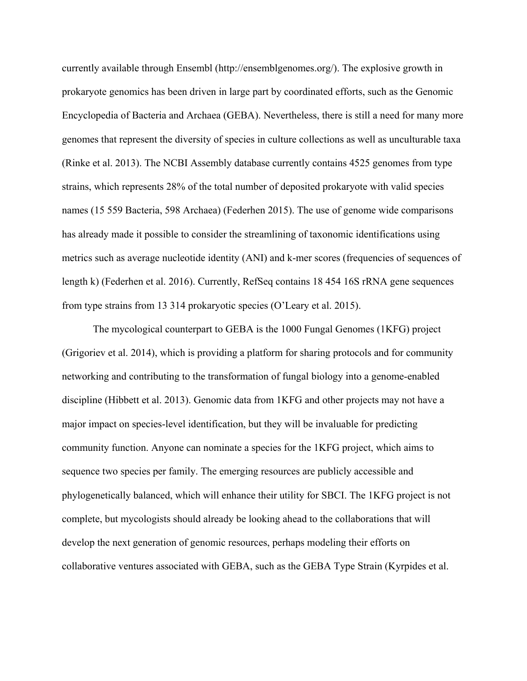currently available through Ensembl (http://ensemblgenomes.org/). The explosive growth in prokaryote genomics has been driven in large part by coordinated efforts, such as the Genomic Encyclopedia of Bacteria and Archaea (GEBA). Nevertheless, there is still a need for many more genomes that represent the diversity of species in culture collections as well as unculturable taxa (Rinke et al. 2013). The NCBI Assembly database currently contains 4525 genomes from type strains, which represents 28% of the total number of deposited prokaryote with valid species names (15 559 Bacteria, 598 Archaea) (Federhen 2015). The use of genome wide comparisons has already made it possible to consider the streamlining of taxonomic identifications using metrics such as average nucleotide identity (ANI) and k-mer scores (frequencies of sequences of length k) (Federhen et al. 2016). Currently, RefSeq contains 18 454 16S rRNA gene sequences from type strains from 13 314 prokaryotic species (O'Leary et al. 2015).

The mycological counterpart to GEBA is the 1000 Fungal Genomes (1KFG) project (Grigoriev et al. 2014), which is providing a platform for sharing protocols and for community networking and contributing to the transformation of fungal biology into a genome-enabled discipline (Hibbett et al. 2013). Genomic data from 1KFG and other projects may not have a major impact on species-level identification, but they will be invaluable for predicting community function. Anyone can nominate a species for the 1KFG project, which aims to sequence two species per family. The emerging resources are publicly accessible and phylogenetically balanced, which will enhance their utility for SBCI. The 1KFG project is not complete, but mycologists should already be looking ahead to the collaborations that will develop the next generation of genomic resources, perhaps modeling their efforts on collaborative ventures associated with GEBA, such as the GEBA Type Strain (Kyrpides et al.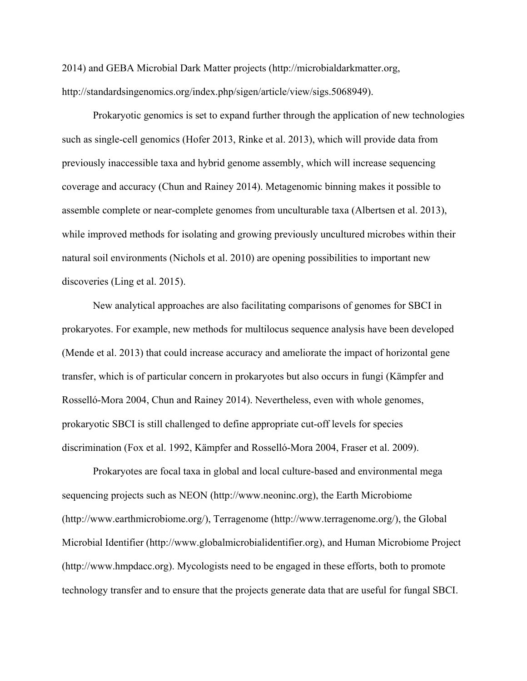2014) and GEBA Microbial Dark Matter projects (http://microbialdarkmatter.org, http://standardsingenomics.org/index.php/sigen/article/view/sigs.5068949).

Prokaryotic genomics is set to expand further through the application of new technologies such as single-cell genomics (Hofer 2013, Rinke et al. 2013), which will provide data from previously inaccessible taxa and hybrid genome assembly, which will increase sequencing coverage and accuracy (Chun and Rainey 2014). Metagenomic binning makes it possible to assemble complete or near-complete genomes from unculturable taxa (Albertsen et al. 2013), while improved methods for isolating and growing previously uncultured microbes within their natural soil environments (Nichols et al. 2010) are opening possibilities to important new discoveries (Ling et al. 2015).

New analytical approaches are also facilitating comparisons of genomes for SBCI in prokaryotes. For example, new methods for multilocus sequence analysis have been developed (Mende et al. 2013) that could increase accuracy and ameliorate the impact of horizontal gene transfer, which is of particular concern in prokaryotes but also occurs in fungi (Kämpfer and Rosselló-Mora 2004, Chun and Rainey 2014). Nevertheless, even with whole genomes, prokaryotic SBCI is still challenged to define appropriate cut-off levels for species discrimination (Fox et al. 1992, Kämpfer and Rosselló-Mora 2004, Fraser et al. 2009).

Prokaryotes are focal taxa in global and local culture-based and environmental mega sequencing projects such as NEON (http://www.neoninc.org), the Earth Microbiome (http://www.earthmicrobiome.org/), Terragenome (http://www.terragenome.org/), the Global Microbial Identifier (http://www.globalmicrobialidentifier.org), and Human Microbiome Project (http://www.hmpdacc.org). Mycologists need to be engaged in these efforts, both to promote technology transfer and to ensure that the projects generate data that are useful for fungal SBCI.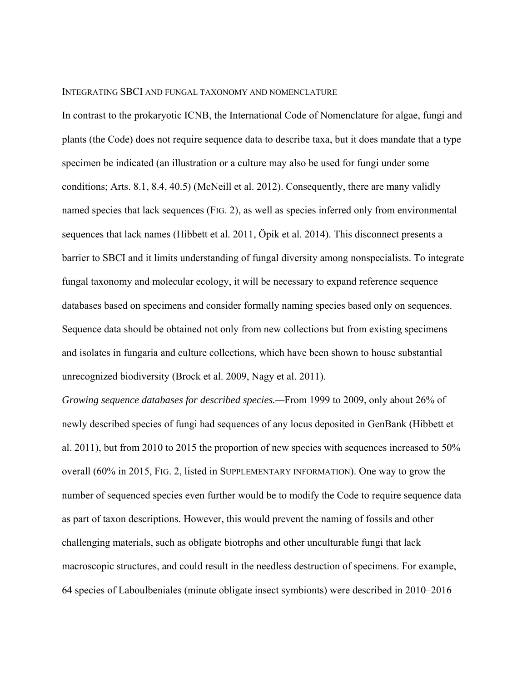### INTEGRATING SBCI AND FUNGAL TAXONOMY AND NOMENCLATURE

In contrast to the prokaryotic ICNB, the International Code of Nomenclature for algae, fungi and plants (the Code) does not require sequence data to describe taxa, but it does mandate that a type specimen be indicated (an illustration or a culture may also be used for fungi under some conditions; Arts. 8.1, 8.4, 40.5) (McNeill et al. 2012). Consequently, there are many validly named species that lack sequences (FIG. 2), as well as species inferred only from environmental sequences that lack names (Hibbett et al. 2011, Öpik et al. 2014). This disconnect presents a barrier to SBCI and it limits understanding of fungal diversity among nonspecialists. To integrate fungal taxonomy and molecular ecology, it will be necessary to expand reference sequence databases based on specimens and consider formally naming species based only on sequences. Sequence data should be obtained not only from new collections but from existing specimens and isolates in fungaria and culture collections, which have been shown to house substantial unrecognized biodiversity (Brock et al. 2009, Nagy et al. 2011).

*Growing sequence databases for described species.—*From 1999 to 2009, only about 26% of newly described species of fungi had sequences of any locus deposited in GenBank (Hibbett et al. 2011), but from 2010 to 2015 the proportion of new species with sequences increased to 50% overall (60% in 2015, FIG. 2, listed in SUPPLEMENTARY INFORMATION). One way to grow the number of sequenced species even further would be to modify the Code to require sequence data as part of taxon descriptions. However, this would prevent the naming of fossils and other challenging materials, such as obligate biotrophs and other unculturable fungi that lack macroscopic structures, and could result in the needless destruction of specimens. For example, 64 species of Laboulbeniales (minute obligate insect symbionts) were described in 2010–2016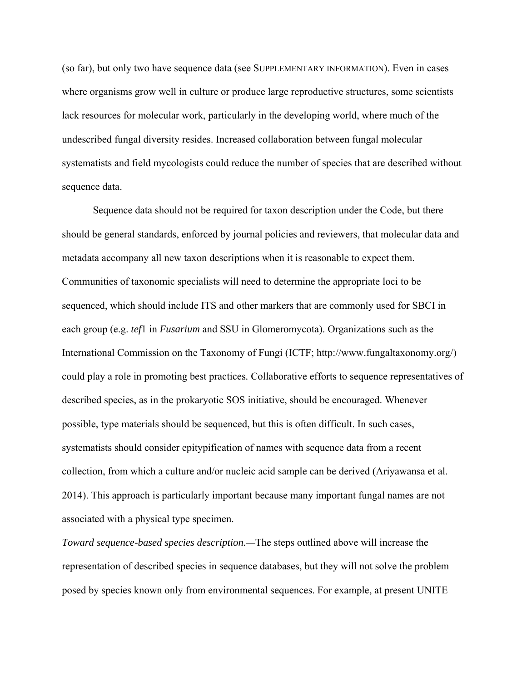(so far), but only two have sequence data (see SUPPLEMENTARY INFORMATION). Even in cases where organisms grow well in culture or produce large reproductive structures, some scientists lack resources for molecular work, particularly in the developing world, where much of the undescribed fungal diversity resides. Increased collaboration between fungal molecular systematists and field mycologists could reduce the number of species that are described without sequence data.

Sequence data should not be required for taxon description under the Code, but there should be general standards, enforced by journal policies and reviewers, that molecular data and metadata accompany all new taxon descriptions when it is reasonable to expect them. Communities of taxonomic specialists will need to determine the appropriate loci to be sequenced, which should include ITS and other markers that are commonly used for SBCI in each group (e.g. *tef*1 in *Fusarium* and SSU in Glomeromycota). Organizations such as the International Commission on the Taxonomy of Fungi (ICTF; http://www.fungaltaxonomy.org/) could play a role in promoting best practices*.* Collaborative efforts to sequence representatives of described species, as in the prokaryotic SOS initiative, should be encouraged. Whenever possible, type materials should be sequenced, but this is often difficult. In such cases, systematists should consider epitypification of names with sequence data from a recent collection, from which a culture and/or nucleic acid sample can be derived (Ariyawansa et al. 2014). This approach is particularly important because many important fungal names are not associated with a physical type specimen.

*Toward sequence-based species description.—*The steps outlined above will increase the representation of described species in sequence databases, but they will not solve the problem posed by species known only from environmental sequences. For example, at present UNITE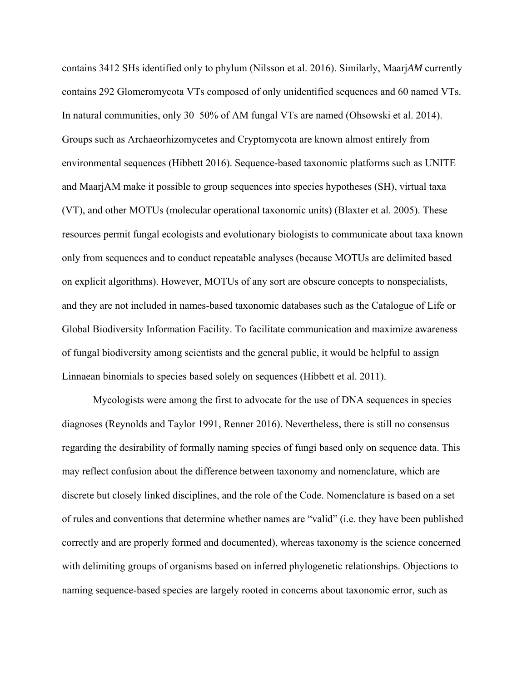contains 3412 SHs identified only to phylum (Nilsson et al. 2016). Similarly, Maarj*AM* currently contains 292 Glomeromycota VTs composed of only unidentified sequences and 60 named VTs. In natural communities, only 30–50% of AM fungal VTs are named (Ohsowski et al. 2014). Groups such as Archaeorhizomycetes and Cryptomycota are known almost entirely from environmental sequences (Hibbett 2016). Sequence-based taxonomic platforms such as UNITE and MaarjAM make it possible to group sequences into species hypotheses (SH), virtual taxa (VT), and other MOTUs (molecular operational taxonomic units) (Blaxter et al. 2005). These resources permit fungal ecologists and evolutionary biologists to communicate about taxa known only from sequences and to conduct repeatable analyses (because MOTUs are delimited based on explicit algorithms). However, MOTUs of any sort are obscure concepts to nonspecialists, and they are not included in names-based taxonomic databases such as the Catalogue of Life or Global Biodiversity Information Facility. To facilitate communication and maximize awareness of fungal biodiversity among scientists and the general public, it would be helpful to assign Linnaean binomials to species based solely on sequences (Hibbett et al. 2011).

Mycologists were among the first to advocate for the use of DNA sequences in species diagnoses (Reynolds and Taylor 1991, Renner 2016). Nevertheless, there is still no consensus regarding the desirability of formally naming species of fungi based only on sequence data. This may reflect confusion about the difference between taxonomy and nomenclature, which are discrete but closely linked disciplines, and the role of the Code. Nomenclature is based on a set of rules and conventions that determine whether names are "valid" (i.e. they have been published correctly and are properly formed and documented), whereas taxonomy is the science concerned with delimiting groups of organisms based on inferred phylogenetic relationships. Objections to naming sequence-based species are largely rooted in concerns about taxonomic error, such as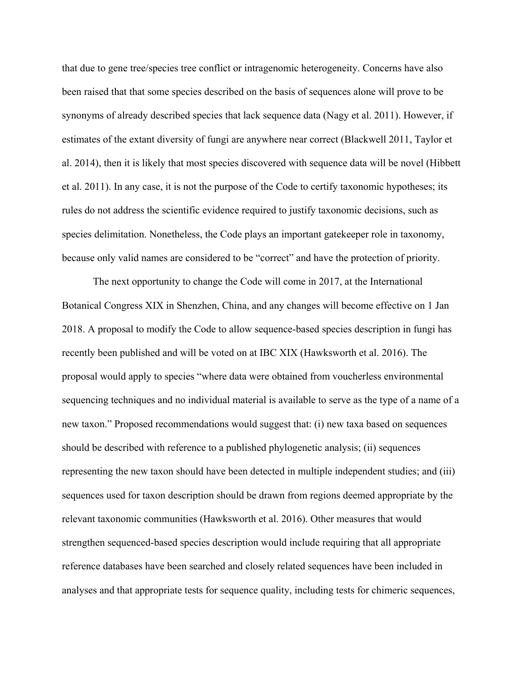that due to gene tree/species tree conflict or intragenomic heterogeneity. Concerns have also been raised that that some species described on the basis of sequences alone will prove to be synonyms of already described species that lack sequence data (Nagy et al. 2011). However, if estimates of the extant diversity of fungi are anywhere near correct (Blackwell 2011, Taylor et al. 2014), then it is likely that most species discovered with sequence data will be novel (Hibbett et al. 2011). In any case, it is not the purpose of the Code to certify taxonomic hypotheses; its rules do not address the scientific evidence required to justify taxonomic decisions, such as species delimitation. Nonetheless, the Code plays an important gatekeeper role in taxonomy, because only valid names are considered to be "correct" and have the protection of priority.

The next opportunity to change the Code will come in 2017, at the International Botanical Congress XIX in Shenzhen, China, and any changes will become effective on 1 Jan 2018. A proposal to modify the Code to allow sequence-based species description in fungi has recently been published and will be voted on at IBC XIX (Hawksworth et al. 2016). The proposal would apply to species "where data were obtained from voucherless environmental sequencing techniques and no individual material is available to serve as the type of a name of a new taxon." Proposed recommendations would suggest that: (i) new taxa based on sequences should be described with reference to a published phylogenetic analysis; (ii) sequences representing the new taxon should have been detected in multiple independent studies; and (iii) sequences used for taxon description should be drawn from regions deemed appropriate by the relevant taxonomic communities (Hawksworth et al. 2016). Other measures that would strengthen sequenced-based species description would include requiring that all appropriate reference databases have been searched and closely related sequences have been included in analyses and that appropriate tests for sequence quality, including tests for chimeric sequences,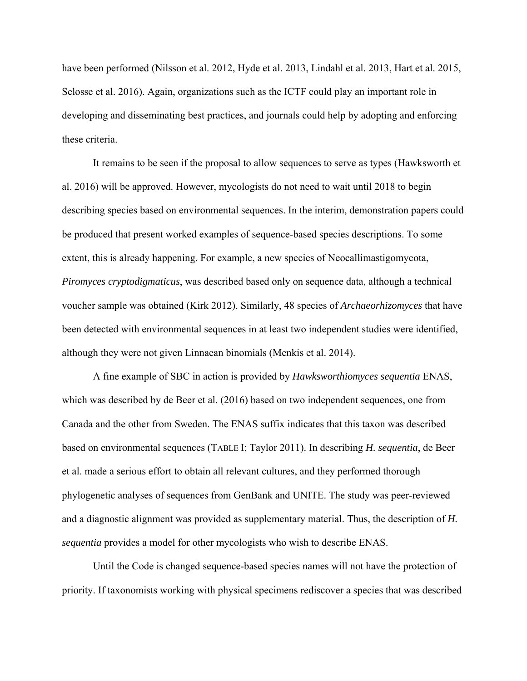have been performed (Nilsson et al. 2012, Hyde et al. 2013, Lindahl et al. 2013, Hart et al. 2015, Selosse et al. 2016). Again, organizations such as the ICTF could play an important role in developing and disseminating best practices, and journals could help by adopting and enforcing these criteria.

It remains to be seen if the proposal to allow sequences to serve as types (Hawksworth et al. 2016) will be approved. However, mycologists do not need to wait until 2018 to begin describing species based on environmental sequences. In the interim, demonstration papers could be produced that present worked examples of sequence-based species descriptions. To some extent, this is already happening. For example, a new species of Neocallimastigomycota, *Piromyces cryptodigmaticus*, was described based only on sequence data, although a technical voucher sample was obtained (Kirk 2012). Similarly, 48 species of *Archaeorhizomyces* that have been detected with environmental sequences in at least two independent studies were identified, although they were not given Linnaean binomials (Menkis et al. 2014).

A fine example of SBC in action is provided by *Hawksworthiomyces sequentia* ENAS, which was described by de Beer et al. (2016) based on two independent sequences, one from Canada and the other from Sweden. The ENAS suffix indicates that this taxon was described based on environmental sequences (TABLE I; Taylor 2011). In describing *H. sequentia*, de Beer et al. made a serious effort to obtain all relevant cultures, and they performed thorough phylogenetic analyses of sequences from GenBank and UNITE. The study was peer-reviewed and a diagnostic alignment was provided as supplementary material. Thus, the description of *H. sequentia* provides a model for other mycologists who wish to describe ENAS.

Until the Code is changed sequence-based species names will not have the protection of priority. If taxonomists working with physical specimens rediscover a species that was described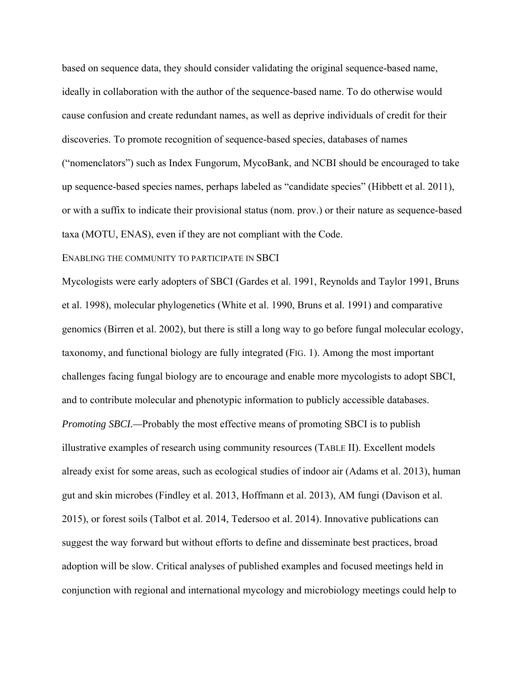based on sequence data, they should consider validating the original sequence-based name, ideally in collaboration with the author of the sequence-based name. To do otherwise would cause confusion and create redundant names, as well as deprive individuals of credit for their discoveries. To promote recognition of sequence-based species, databases of names ("nomenclators") such as Index Fungorum, MycoBank, and NCBI should be encouraged to take up sequence-based species names, perhaps labeled as "candidate species" (Hibbett et al. 2011), or with a suffix to indicate their provisional status (nom. prov.) or their nature as sequence-based taxa (MOTU, ENAS), even if they are not compliant with the Code.

# ENABLING THE COMMUNITY TO PARTICIPATE IN SBCI

Mycologists were early adopters of SBCI (Gardes et al. 1991, Reynolds and Taylor 1991, Bruns et al. 1998), molecular phylogenetics (White et al. 1990, Bruns et al. 1991) and comparative genomics (Birren et al. 2002), but there is still a long way to go before fungal molecular ecology, taxonomy, and functional biology are fully integrated (FIG. 1). Among the most important challenges facing fungal biology are to encourage and enable more mycologists to adopt SBCI, and to contribute molecular and phenotypic information to publicly accessible databases. *Promoting SBCI.—Probably the most effective means of promoting SBCI is to publish* illustrative examples of research using community resources (TABLE II). Excellent models already exist for some areas, such as ecological studies of indoor air (Adams et al. 2013), human gut and skin microbes (Findley et al. 2013, Hoffmann et al. 2013), AM fungi (Davison et al. 2015), or forest soils (Talbot et al. 2014, Tedersoo et al. 2014). Innovative publications can suggest the way forward but without efforts to define and disseminate best practices, broad adoption will be slow. Critical analyses of published examples and focused meetings held in conjunction with regional and international mycology and microbiology meetings could help to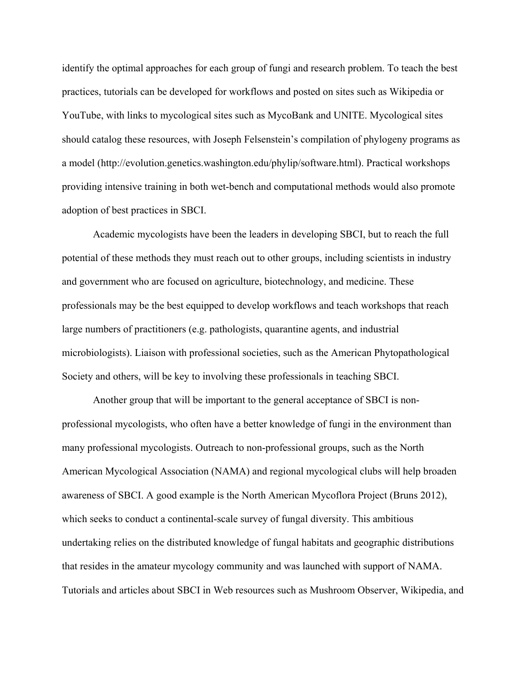identify the optimal approaches for each group of fungi and research problem. To teach the best practices, tutorials can be developed for workflows and posted on sites such as Wikipedia or YouTube, with links to mycological sites such as MycoBank and UNITE. Mycological sites should catalog these resources, with Joseph Felsenstein's compilation of phylogeny programs as a model (http://evolution.genetics.washington.edu/phylip/software.html). Practical workshops providing intensive training in both wet-bench and computational methods would also promote adoption of best practices in SBCI.

Academic mycologists have been the leaders in developing SBCI, but to reach the full potential of these methods they must reach out to other groups, including scientists in industry and government who are focused on agriculture, biotechnology, and medicine. These professionals may be the best equipped to develop workflows and teach workshops that reach large numbers of practitioners (e.g. pathologists, quarantine agents, and industrial microbiologists). Liaison with professional societies, such as the American Phytopathological Society and others, will be key to involving these professionals in teaching SBCI.

Another group that will be important to the general acceptance of SBCI is nonprofessional mycologists, who often have a better knowledge of fungi in the environment than many professional mycologists. Outreach to non-professional groups, such as the North American Mycological Association (NAMA) and regional mycological clubs will help broaden awareness of SBCI. A good example is the North American Mycoflora Project (Bruns 2012), which seeks to conduct a continental-scale survey of fungal diversity. This ambitious undertaking relies on the distributed knowledge of fungal habitats and geographic distributions that resides in the amateur mycology community and was launched with support of NAMA. Tutorials and articles about SBCI in Web resources such as Mushroom Observer, Wikipedia, and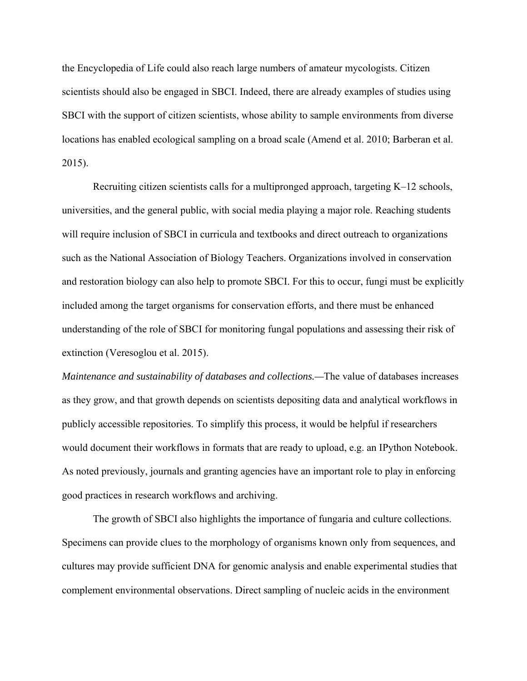the Encyclopedia of Life could also reach large numbers of amateur mycologists. Citizen scientists should also be engaged in SBCI. Indeed, there are already examples of studies using SBCI with the support of citizen scientists, whose ability to sample environments from diverse locations has enabled ecological sampling on a broad scale (Amend et al. 2010; Barberan et al. 2015).

Recruiting citizen scientists calls for a multipronged approach, targeting K–12 schools, universities, and the general public, with social media playing a major role. Reaching students will require inclusion of SBCI in curricula and textbooks and direct outreach to organizations such as the National Association of Biology Teachers. Organizations involved in conservation and restoration biology can also help to promote SBCI. For this to occur, fungi must be explicitly included among the target organisms for conservation efforts, and there must be enhanced understanding of the role of SBCI for monitoring fungal populations and assessing their risk of extinction (Veresoglou et al. 2015).

*Maintenance and sustainability of databases and collections.—*The value of databases increases as they grow, and that growth depends on scientists depositing data and analytical workflows in publicly accessible repositories. To simplify this process, it would be helpful if researchers would document their workflows in formats that are ready to upload, e.g. an IPython Notebook. As noted previously, journals and granting agencies have an important role to play in enforcing good practices in research workflows and archiving.

The growth of SBCI also highlights the importance of fungaria and culture collections. Specimens can provide clues to the morphology of organisms known only from sequences, and cultures may provide sufficient DNA for genomic analysis and enable experimental studies that complement environmental observations. Direct sampling of nucleic acids in the environment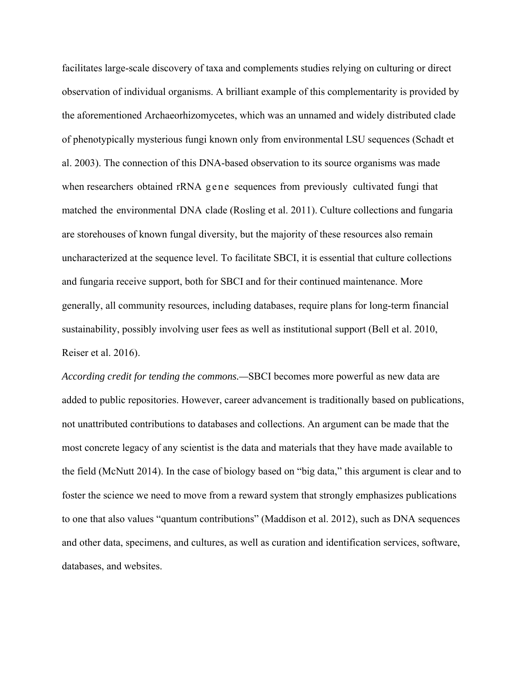facilitates large-scale discovery of taxa and complements studies relying on culturing or direct observation of individual organisms. A brilliant example of this complementarity is provided by the aforementioned Archaeorhizomycetes, which was an unnamed and widely distributed clade of phenotypically mysterious fungi known only from environmental LSU sequences (Schadt et al. 2003). The connection of this DNA-based observation to its source organisms was made when researchers obtained rRNA g e ne sequences from previously cultivated fungi that matched the environmental DNA clade (Rosling et al. 2011). Culture collections and fungaria are storehouses of known fungal diversity, but the majority of these resources also remain uncharacterized at the sequence level. To facilitate SBCI, it is essential that culture collections and fungaria receive support, both for SBCI and for their continued maintenance. More generally, all community resources, including databases, require plans for long-term financial sustainability, possibly involving user fees as well as institutional support (Bell et al. 2010, Reiser et al. 2016).

*According credit for tending the commons.—*SBCI becomes more powerful as new data are added to public repositories. However, career advancement is traditionally based on publications, not unattributed contributions to databases and collections. An argument can be made that the most concrete legacy of any scientist is the data and materials that they have made available to the field (McNutt 2014). In the case of biology based on "big data," this argument is clear and to foster the science we need to move from a reward system that strongly emphasizes publications to one that also values "quantum contributions" (Maddison et al. 2012), such as DNA sequences and other data, specimens, and cultures, as well as curation and identification services, software, databases, and websites.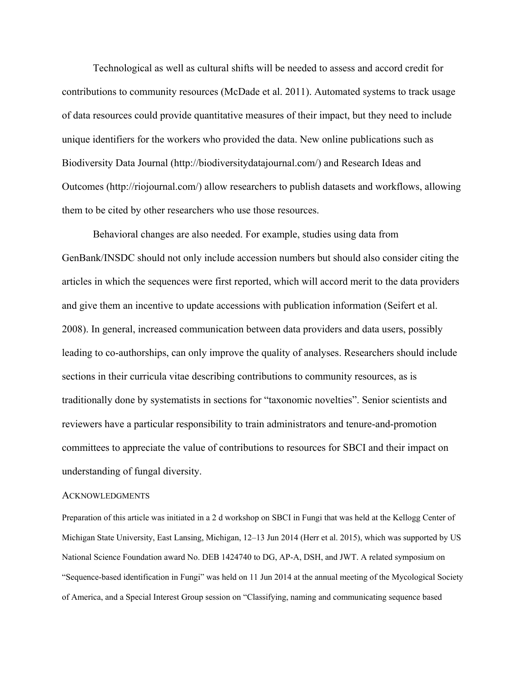Technological as well as cultural shifts will be needed to assess and accord credit for contributions to community resources (McDade et al. 2011). Automated systems to track usage of data resources could provide quantitative measures of their impact, but they need to include unique identifiers for the workers who provided the data. New online publications such as Biodiversity Data Journal (http://biodiversitydatajournal.com/) and Research Ideas and Outcomes (http://riojournal.com/) allow researchers to publish datasets and workflows, allowing them to be cited by other researchers who use those resources.

Behavioral changes are also needed. For example, studies using data from GenBank/INSDC should not only include accession numbers but should also consider citing the articles in which the sequences were first reported, which will accord merit to the data providers and give them an incentive to update accessions with publication information (Seifert et al. 2008). In general, increased communication between data providers and data users, possibly leading to co-authorships, can only improve the quality of analyses. Researchers should include sections in their curricula vitae describing contributions to community resources, as is traditionally done by systematists in sections for "taxonomic novelties". Senior scientists and reviewers have a particular responsibility to train administrators and tenure-and-promotion committees to appreciate the value of contributions to resources for SBCI and their impact on understanding of fungal diversity.

#### **ACKNOWLEDGMENTS**

Preparation of this article was initiated in a 2 d workshop on SBCI in Fungi that was held at the Kellogg Center of Michigan State University, East Lansing, Michigan, 12–13 Jun 2014 (Herr et al. 2015), which was supported by US National Science Foundation award No. DEB 1424740 to DG, AP-A, DSH, and JWT. A related symposium on "Sequence-based identification in Fungi" was held on 11 Jun 2014 at the annual meeting of the Mycological Society of America, and a Special Interest Group session on "Classifying, naming and communicating sequence based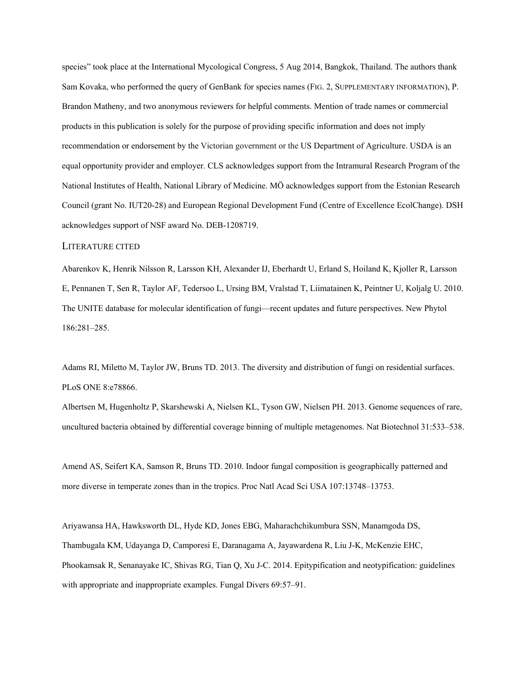species" took place at the International Mycological Congress, 5 Aug 2014, Bangkok, Thailand. The authors thank Sam Kovaka, who performed the query of GenBank for species names (FIG. 2, SUPPLEMENTARY INFORMATION), P. Brandon Matheny, and two anonymous reviewers for helpful comments. Mention of trade names or commercial products in this publication is solely for the purpose of providing specific information and does not imply recommendation or endorsement by the Victorian government or the US Department of Agriculture. USDA is an equal opportunity provider and employer. CLS acknowledges support from the Intramural Research Program of the National Institutes of Health, National Library of Medicine. MÖ acknowledges support from the Estonian Research Council (grant No. IUT20-28) and European Regional Development Fund (Centre of Excellence EcolChange). DSH acknowledges support of NSF award No. DEB-1208719.

#### LITERATURE CITED

Abarenkov K, Henrik Nilsson R, Larsson KH, Alexander IJ, Eberhardt U, Erland S, Hoiland K, Kjoller R, Larsson E, Pennanen T, Sen R, Taylor AF, Tedersoo L, Ursing BM, Vralstad T, Liimatainen K, Peintner U, Koljalg U. 2010. The UNITE database for molecular identification of fungi—recent updates and future perspectives. New Phytol 186:281–285.

Adams RI, Miletto M, Taylor JW, Bruns TD. 2013. The diversity and distribution of fungi on residential surfaces. PLoS ONE 8:e78866.

Albertsen M, Hugenholtz P, Skarshewski A, Nielsen KL, Tyson GW, Nielsen PH. 2013. Genome sequences of rare, uncultured bacteria obtained by differential coverage binning of multiple metagenomes. Nat Biotechnol 31:533–538.

Amend AS, Seifert KA, Samson R, Bruns TD. 2010. Indoor fungal composition is geographically patterned and more diverse in temperate zones than in the tropics. Proc Natl Acad Sci USA 107:13748–13753.

Ariyawansa HA, Hawksworth DL, Hyde KD, Jones EBG, Maharachchikumbura SSN, Manamgoda DS, Thambugala KM, Udayanga D, Camporesi E, Daranagama A, Jayawardena R, Liu J-K, McKenzie EHC, Phookamsak R, Senanayake IC, Shivas RG, Tian Q, Xu J-C. 2014. Epitypification and neotypification: guidelines with appropriate and inappropriate examples. Fungal Divers  $69:57-91$ .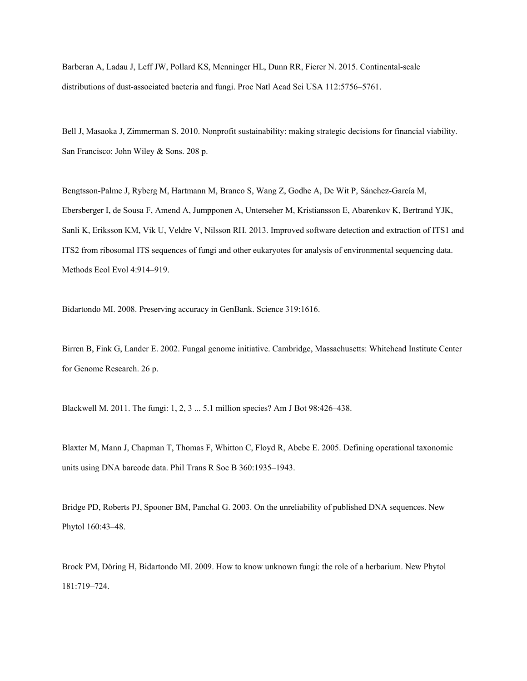Barberan A, Ladau J, Leff JW, Pollard KS, Menninger HL, Dunn RR, Fierer N. 2015. Continental-scale distributions of dust-associated bacteria and fungi. Proc Natl Acad Sci USA 112:5756–5761.

Bell J, Masaoka J, Zimmerman S. 2010. Nonprofit sustainability: making strategic decisions for financial viability. San Francisco: John Wiley & Sons. 208 p.

Bengtsson-Palme J, Ryberg M, Hartmann M, Branco S, Wang Z, Godhe A, De Wit P, Sánchez-García M, Ebersberger I, de Sousa F, Amend A, Jumpponen A, Unterseher M, Kristiansson E, Abarenkov K, Bertrand YJK, Sanli K, Eriksson KM, Vik U, Veldre V, Nilsson RH. 2013. Improved software detection and extraction of ITS1 and ITS2 from ribosomal ITS sequences of fungi and other eukaryotes for analysis of environmental sequencing data. Methods Ecol Evol 4:914–919.

Bidartondo MI. 2008. Preserving accuracy in GenBank. Science 319:1616.

Birren B, Fink G, Lander E. 2002. Fungal genome initiative. Cambridge, Massachusetts: Whitehead Institute Center for Genome Research. 26 p.

Blackwell M. 2011. The fungi: 1, 2, 3 ... 5.1 million species? Am J Bot 98:426–438.

Blaxter M, Mann J, Chapman T, Thomas F, Whitton C, Floyd R, Abebe E. 2005. Defining operational taxonomic units using DNA barcode data. Phil Trans R Soc B 360:1935–1943.

Bridge PD, Roberts PJ, Spooner BM, Panchal G. 2003. On the unreliability of published DNA sequences. New Phytol 160:43–48.

Brock PM, Döring H, Bidartondo MI. 2009. How to know unknown fungi: the role of a herbarium. New Phytol 181:719–724.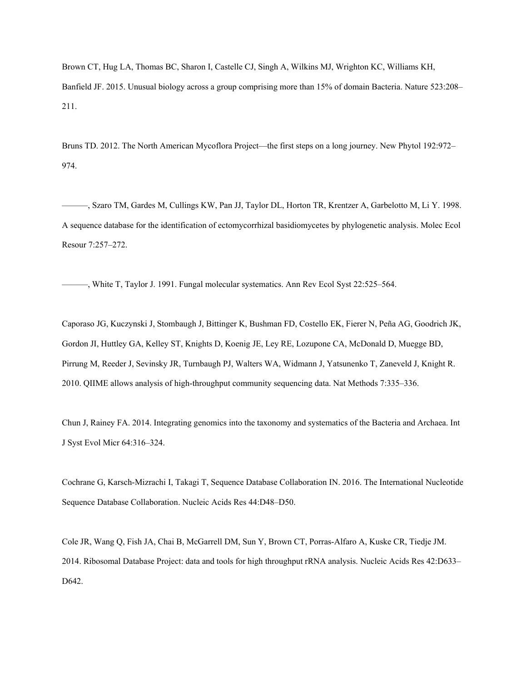Brown CT, Hug LA, Thomas BC, Sharon I, Castelle CJ, Singh A, Wilkins MJ, Wrighton KC, Williams KH, Banfield JF. 2015. Unusual biology across a group comprising more than 15% of domain Bacteria. Nature 523:208– 211.

Bruns TD. 2012. The North American Mycoflora Project—the first steps on a long journey. New Phytol 192:972– 974.

———, Szaro TM, Gardes M, Cullings KW, Pan JJ, Taylor DL, Horton TR, Krentzer A, Garbelotto M, Li Y. 1998. A sequence database for the identification of ectomycorrhizal basidiomycetes by phylogenetic analysis. Molec Ecol Resour 7:257–272.

———, White T, Taylor J. 1991. Fungal molecular systematics. Ann Rev Ecol Syst 22:525–564.

Caporaso JG, Kuczynski J, Stombaugh J, Bittinger K, Bushman FD, Costello EK, Fierer N, Peña AG, Goodrich JK, Gordon JI, Huttley GA, Kelley ST, Knights D, Koenig JE, Ley RE, Lozupone CA, McDonald D, Muegge BD, Pirrung M, Reeder J, Sevinsky JR, Turnbaugh PJ, Walters WA, Widmann J, Yatsunenko T, Zaneveld J, Knight R. 2010. QIIME allows analysis of high-throughput community sequencing data. Nat Methods 7:335–336.

Chun J, Rainey FA. 2014. Integrating genomics into the taxonomy and systematics of the Bacteria and Archaea. Int J Syst Evol Micr 64:316–324.

Cochrane G, Karsch-Mizrachi I, Takagi T, Sequence Database Collaboration IN. 2016. The International Nucleotide Sequence Database Collaboration. Nucleic Acids Res 44:D48–D50.

Cole JR, Wang Q, Fish JA, Chai B, McGarrell DM, Sun Y, Brown CT, Porras-Alfaro A, Kuske CR, Tiedje JM. 2014. Ribosomal Database Project: data and tools for high throughput rRNA analysis. Nucleic Acids Res 42:D633– D642.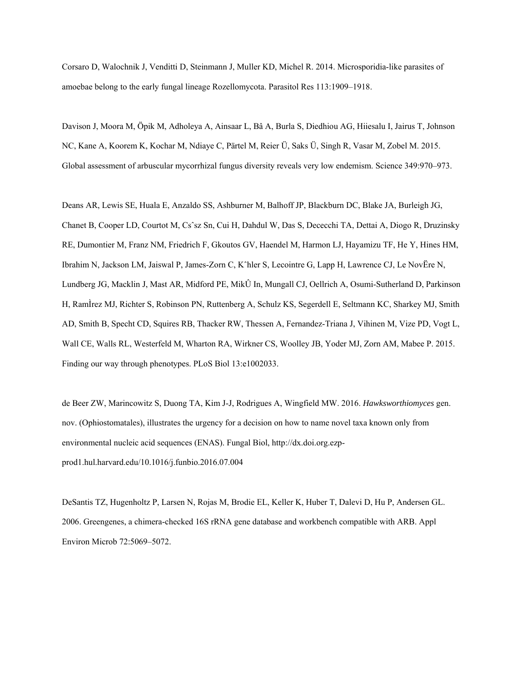Corsaro D, Walochnik J, Venditti D, Steinmann J, Muller KD, Michel R. 2014. Microsporidia-like parasites of amoebae belong to the early fungal lineage Rozellomycota. Parasitol Res 113:1909–1918.

Davison J, Moora M, Öpik M, Adholeya A, Ainsaar L, Bâ A, Burla S, Diedhiou AG, Hiiesalu I, Jairus T, Johnson NC, Kane A, Koorem K, Kochar M, Ndiaye C, Pärtel M, Reier Ü, Saks Ü, Singh R, Vasar M, Zobel M. 2015. Global assessment of arbuscular mycorrhizal fungus diversity reveals very low endemism. Science 349:970–973.

Deans AR, Lewis SE, Huala E, Anzaldo SS, Ashburner M, Balhoff JP, Blackburn DC, Blake JA, Burleigh JG, Chanet B, Cooper LD, Courtot M, Csˆsz Sn, Cui H, Dahdul W, Das S, Dececchi TA, Dettai A, Diogo R, Druzinsky RE, Dumontier M, Franz NM, Friedrich F, Gkoutos GV, Haendel M, Harmon LJ, Hayamizu TF, He Y, Hines HM, Ibrahim N, Jackson LM, Jaiswal P, James-Zorn C, Kˆhler S, Lecointre G, Lapp H, Lawrence CJ, Le NovËre N, Lundberg JG, Macklin J, Mast AR, Midford PE, MikÛ In, Mungall CJ, Oellrich A, Osumi-Sutherland D, Parkinson H, RamÌrez MJ, Richter S, Robinson PN, Ruttenberg A, Schulz KS, Segerdell E, Seltmann KC, Sharkey MJ, Smith AD, Smith B, Specht CD, Squires RB, Thacker RW, Thessen A, Fernandez-Triana J, Vihinen M, Vize PD, Vogt L, Wall CE, Walls RL, Westerfeld M, Wharton RA, Wirkner CS, Woolley JB, Yoder MJ, Zorn AM, Mabee P. 2015. Finding our way through phenotypes. PLoS Biol 13:e1002033.

de Beer ZW, Marincowitz S, Duong TA, Kim J-J, Rodrigues A, Wingfield MW. 2016. *Hawksworthiomyces* gen. nov. (Ophiostomatales), illustrates the urgency for a decision on how to name novel taxa known only from environmental nucleic acid sequences (ENAS). Fungal Biol, http://dx.doi.org.ezpprod1.hul.harvard.edu/10.1016/j.funbio.2016.07.004

DeSantis TZ, Hugenholtz P, Larsen N, Rojas M, Brodie EL, Keller K, Huber T, Dalevi D, Hu P, Andersen GL. 2006. Greengenes, a chimera-checked 16S rRNA gene database and workbench compatible with ARB. Appl Environ Microb 72:5069–5072.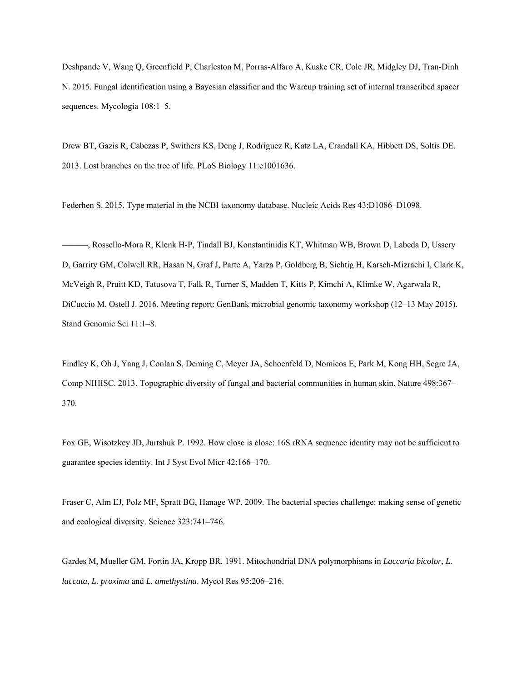Deshpande V, Wang Q, Greenfield P, Charleston M, Porras-Alfaro A, Kuske CR, Cole JR, Midgley DJ, Tran-Dinh N. 2015. Fungal identification using a Bayesian classifier and the Warcup training set of internal transcribed spacer sequences. Mycologia 108:1–5.

Drew BT, Gazis R, Cabezas P, Swithers KS, Deng J, Rodriguez R, Katz LA, Crandall KA, Hibbett DS, Soltis DE. 2013. Lost branches on the tree of life. PLoS Biology 11:e1001636.

Federhen S. 2015. Type material in the NCBI taxonomy database. Nucleic Acids Res 43:D1086–D1098.

———, Rossello-Mora R, Klenk H-P, Tindall BJ, Konstantinidis KT, Whitman WB, Brown D, Labeda D, Ussery D, Garrity GM, Colwell RR, Hasan N, Graf J, Parte A, Yarza P, Goldberg B, Sichtig H, Karsch-Mizrachi I, Clark K, McVeigh R, Pruitt KD, Tatusova T, Falk R, Turner S, Madden T, Kitts P, Kimchi A, Klimke W, Agarwala R, DiCuccio M, Ostell J. 2016. Meeting report: GenBank microbial genomic taxonomy workshop (12–13 May 2015). Stand Genomic Sci 11:1–8.

Findley K, Oh J, Yang J, Conlan S, Deming C, Meyer JA, Schoenfeld D, Nomicos E, Park M, Kong HH, Segre JA, Comp NIHISC. 2013. Topographic diversity of fungal and bacterial communities in human skin. Nature 498:367– 370.

Fox GE, Wisotzkey JD, Jurtshuk P. 1992. How close is close: 16S rRNA sequence identity may not be sufficient to guarantee species identity. Int J Syst Evol Micr 42:166–170.

Fraser C, Alm EJ, Polz MF, Spratt BG, Hanage WP. 2009. The bacterial species challenge: making sense of genetic and ecological diversity. Science 323:741–746.

Gardes M, Mueller GM, Fortin JA, Kropp BR. 1991. Mitochondrial DNA polymorphisms in *Laccaria bicolor*, *L. laccata*, *L. proxima* and *L. amethystina*. Mycol Res 95:206–216.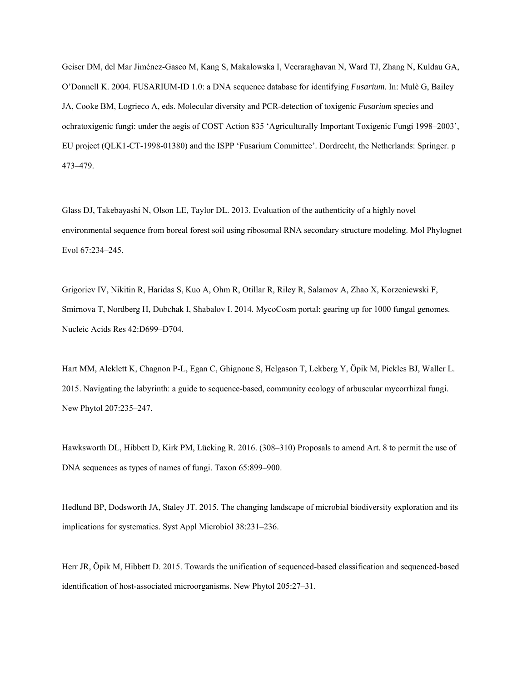Geiser DM, del Mar Jiménez-Gasco M, Kang S, Makalowska I, Veeraraghavan N, Ward TJ, Zhang N, Kuldau GA, O'Donnell K. 2004. FUSARIUM-ID 1.0: a DNA sequence database for identifying *Fusarium*. In: Mulè G, Bailey JA, Cooke BM, Logrieco A, eds. Molecular diversity and PCR-detection of toxigenic *Fusarium* species and ochratoxigenic fungi: under the aegis of COST Action 835 'Agriculturally Important Toxigenic Fungi 1998–2003', EU project (QLK1-CT-1998-01380) and the ISPP 'Fusarium Committee'. Dordrecht, the Netherlands: Springer. p 473–479.

Glass DJ, Takebayashi N, Olson LE, Taylor DL. 2013. Evaluation of the authenticity of a highly novel environmental sequence from boreal forest soil using ribosomal RNA secondary structure modeling. Mol Phylognet Evol 67:234–245.

Grigoriev IV, Nikitin R, Haridas S, Kuo A, Ohm R, Otillar R, Riley R, Salamov A, Zhao X, Korzeniewski F, Smirnova T, Nordberg H, Dubchak I, Shabalov I. 2014. MycoCosm portal: gearing up for 1000 fungal genomes. Nucleic Acids Res 42:D699–D704.

Hart MM, Aleklett K, Chagnon P-L, Egan C, Ghignone S, Helgason T, Lekberg Y, Öpik M, Pickles BJ, Waller L. 2015. Navigating the labyrinth: a guide to sequence-based, community ecology of arbuscular mycorrhizal fungi. New Phytol 207:235–247.

Hawksworth DL, Hibbett D, Kirk PM, Lücking R. 2016. (308–310) Proposals to amend Art. 8 to permit the use of DNA sequences as types of names of fungi. Taxon 65:899–900.

Hedlund BP, Dodsworth JA, Staley JT. 2015. The changing landscape of microbial biodiversity exploration and its implications for systematics. Syst Appl Microbiol 38:231–236.

Herr JR, Öpik M, Hibbett D. 2015. Towards the unification of sequenced-based classification and sequenced-based identification of host-associated microorganisms. New Phytol 205:27–31.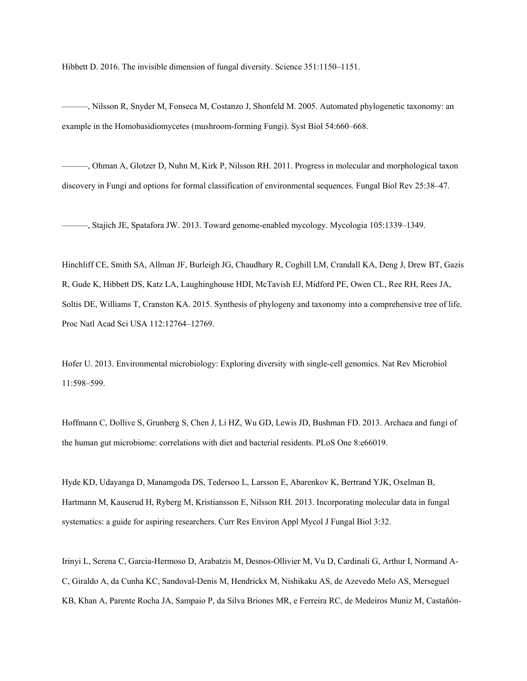Hibbett D. 2016. The invisible dimension of fungal diversity. Science 351:1150–1151.

———, Nilsson R, Snyder M, Fonseca M, Costanzo J, Shonfeld M. 2005. Automated phylogenetic taxonomy: an example in the Homobasidiomycetes (mushroom-forming Fungi). Syst Biol 54:660–668.

———, Ohman A, Glotzer D, Nuhn M, Kirk P, Nilsson RH. 2011. Progress in molecular and morphological taxon discovery in Fungi and options for formal classification of environmental sequences. Fungal Biol Rev 25:38–47.

———, Stajich JE, Spatafora JW. 2013. Toward genome-enabled mycology. Mycologia 105:1339–1349.

Hinchliff CE, Smith SA, Allman JF, Burleigh JG, Chaudhary R, Coghill LM, Crandall KA, Deng J, Drew BT, Gazis R, Gude K, Hibbett DS, Katz LA, Laughinghouse HDI, McTavish EJ, Midford PE, Owen CL, Ree RH, Rees JA, Soltis DE, Williams T, Cranston KA. 2015. Synthesis of phylogeny and taxonomy into a comprehensive tree of life. Proc Natl Acad Sci USA 112:12764–12769.

Hofer U. 2013. Environmental microbiology: Exploring diversity with single-cell genomics. Nat Rev Microbiol 11:598–599.

Hoffmann C, Dollive S, Grunberg S, Chen J, Li HZ, Wu GD, Lewis JD, Bushman FD. 2013. Archaea and fungi of the human gut microbiome: correlations with diet and bacterial residents. PLoS One 8:e66019.

Hyde KD, Udayanga D, Manamgoda DS, Tedersoo L, Larsson E, Abarenkov K, Bertrand YJK, Oxelman B, Hartmann M, Kauserud H, Ryberg M, Kristiansson E, Nilsson RH. 2013. Incorporating molecular data in fungal systematics: a guide for aspiring researchers. Curr Res Environ Appl Mycol J Fungal Biol 3:32.

Irinyi L, Serena C, Garcia-Hermoso D, Arabatzis M, Desnos-Ollivier M, Vu D, Cardinali G, Arthur I, Normand A-C, Giraldo A, da Cunha KC, Sandoval-Denis M, Hendrickx M, Nishikaku AS, de Azevedo Melo AS, Merseguel KB, Khan A, Parente Rocha JA, Sampaio P, da Silva Briones MR, e Ferreira RC, de Medeiros Muniz M, Castañón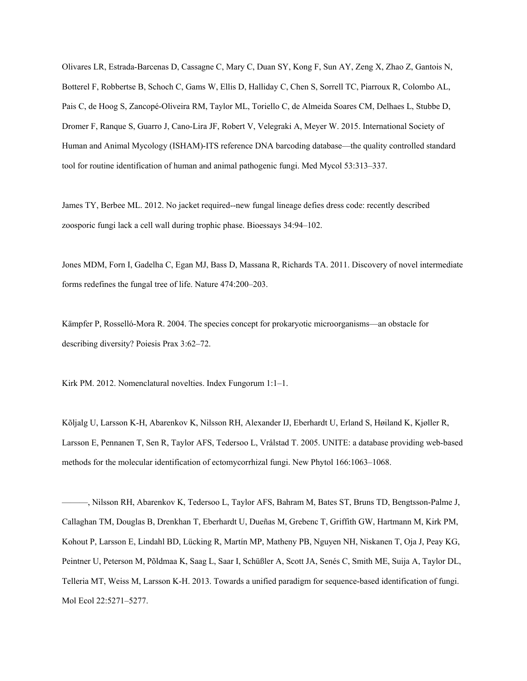Olivares LR, Estrada-Barcenas D, Cassagne C, Mary C, Duan SY, Kong F, Sun AY, Zeng X, Zhao Z, Gantois N, Botterel F, Robbertse B, Schoch C, Gams W, Ellis D, Halliday C, Chen S, Sorrell TC, Piarroux R, Colombo AL, Pais C, de Hoog S, Zancopé-Oliveira RM, Taylor ML, Toriello C, de Almeida Soares CM, Delhaes L, Stubbe D, Dromer F, Ranque S, Guarro J, Cano-Lira JF, Robert V, Velegraki A, Meyer W. 2015. International Society of Human and Animal Mycology (ISHAM)-ITS reference DNA barcoding database—the quality controlled standard tool for routine identification of human and animal pathogenic fungi. Med Mycol 53:313–337.

James TY, Berbee ML. 2012. No jacket required--new fungal lineage defies dress code: recently described zoosporic fungi lack a cell wall during trophic phase. Bioessays 34:94–102.

Jones MDM, Forn I, Gadelha C, Egan MJ, Bass D, Massana R, Richards TA. 2011. Discovery of novel intermediate forms redefines the fungal tree of life. Nature 474:200–203.

Kämpfer P, Rosselló-Mora R. 2004. The species concept for prokaryotic microorganisms—an obstacle for describing diversity? Poiesis Prax 3:62–72.

Kirk PM. 2012. Nomenclatural novelties. Index Fungorum 1:1–1.

Kõljalg U, Larsson K-H, Abarenkov K, Nilsson RH, Alexander IJ, Eberhardt U, Erland S, Høiland K, Kjøller R, Larsson E, Pennanen T, Sen R, Taylor AFS, Tedersoo L, Vrålstad T. 2005. UNITE: a database providing web-based methods for the molecular identification of ectomycorrhizal fungi. New Phytol 166:1063–1068.

———, Nilsson RH, Abarenkov K, Tedersoo L, Taylor AFS, Bahram M, Bates ST, Bruns TD, Bengtsson-Palme J, Callaghan TM, Douglas B, Drenkhan T, Eberhardt U, Dueñas M, Grebenc T, Griffith GW, Hartmann M, Kirk PM, Kohout P, Larsson E, Lindahl BD, Lücking R, Martín MP, Matheny PB, Nguyen NH, Niskanen T, Oja J, Peay KG, Peintner U, Peterson M, Põldmaa K, Saag L, Saar I, Schüßler A, Scott JA, Senés C, Smith ME, Suija A, Taylor DL, Telleria MT, Weiss M, Larsson K-H. 2013. Towards a unified paradigm for sequence-based identification of fungi. Mol Ecol 22:5271–5277.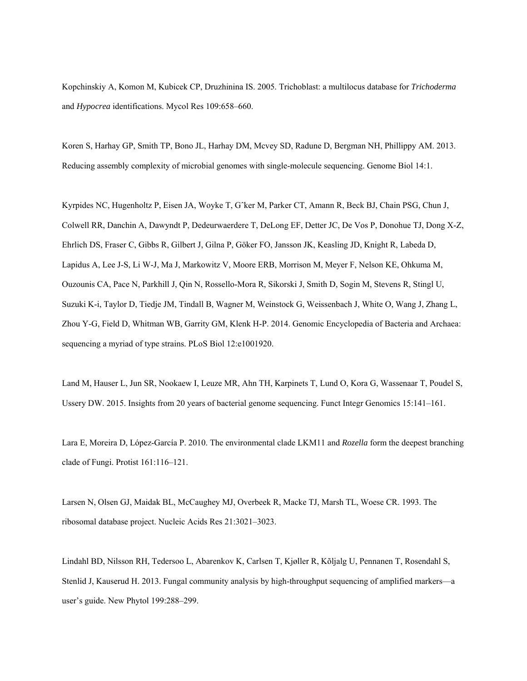Kopchinskiy A, Komon M, Kubicek CP, Druzhinina IS. 2005. Trichoblast: a multilocus database for *Trichoderma* and *Hypocrea* identifications. Mycol Res 109:658–660.

Koren S, Harhay GP, Smith TP, Bono JL, Harhay DM, Mcvey SD, Radune D, Bergman NH, Phillippy AM. 2013. Reducing assembly complexity of microbial genomes with single-molecule sequencing. Genome Biol 14:1.

Kyrpides NC, Hugenholtz P, Eisen JA, Woyke T, Gˆker M, Parker CT, Amann R, Beck BJ, Chain PSG, Chun J, Colwell RR, Danchin A, Dawyndt P, Dedeurwaerdere T, DeLong EF, Detter JC, De Vos P, Donohue TJ, Dong X-Z, Ehrlich DS, Fraser C, Gibbs R, Gilbert J, Gilna P, Göker FO, Jansson JK, Keasling JD, Knight R, Labeda D, Lapidus A, Lee J-S, Li W-J, Ma J, Markowitz V, Moore ERB, Morrison M, Meyer F, Nelson KE, Ohkuma M, Ouzounis CA, Pace N, Parkhill J, Qin N, Rossello-Mora R, Sikorski J, Smith D, Sogin M, Stevens R, Stingl U, Suzuki K-i, Taylor D, Tiedje JM, Tindall B, Wagner M, Weinstock G, Weissenbach J, White O, Wang J, Zhang L, Zhou Y-G, Field D, Whitman WB, Garrity GM, Klenk H-P. 2014. Genomic Encyclopedia of Bacteria and Archaea: sequencing a myriad of type strains. PLoS Biol 12:e1001920.

Land M, Hauser L, Jun SR, Nookaew I, Leuze MR, Ahn TH, Karpinets T, Lund O, Kora G, Wassenaar T, Poudel S, Ussery DW. 2015. Insights from 20 years of bacterial genome sequencing. Funct Integr Genomics 15:141–161.

Lara E, Moreira D, López-García P. 2010. The environmental clade LKM11 and *Rozella* form the deepest branching clade of Fungi. Protist 161:116–121.

Larsen N, Olsen GJ, Maidak BL, McCaughey MJ, Overbeek R, Macke TJ, Marsh TL, Woese CR. 1993. The ribosomal database project. Nucleic Acids Res 21:3021–3023.

Lindahl BD, Nilsson RH, Tedersoo L, Abarenkov K, Carlsen T, Kjøller R, Kõljalg U, Pennanen T, Rosendahl S, Stenlid J, Kauserud H. 2013. Fungal community analysis by high-throughput sequencing of amplified markers—a user's guide. New Phytol 199:288–299.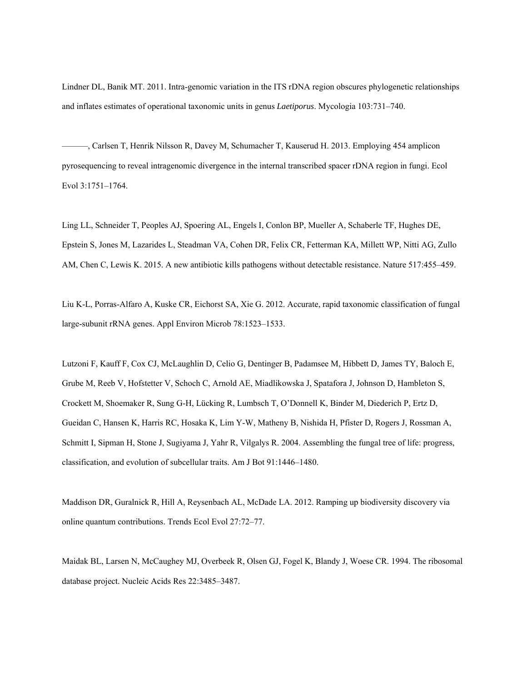Lindner DL, Banik MT. 2011. Intra-genomic variation in the ITS rDNA region obscures phylogenetic relationships and inflates estimates of operational taxonomic units in genus *Laetiporus*. Mycologia 103:731–740.

———, Carlsen T, Henrik Nilsson R, Davey M, Schumacher T, Kauserud H. 2013. Employing 454 amplicon pyrosequencing to reveal intragenomic divergence in the internal transcribed spacer rDNA region in fungi. Ecol Evol 3:1751–1764.

Ling LL, Schneider T, Peoples AJ, Spoering AL, Engels I, Conlon BP, Mueller A, Schaberle TF, Hughes DE, Epstein S, Jones M, Lazarides L, Steadman VA, Cohen DR, Felix CR, Fetterman KA, Millett WP, Nitti AG, Zullo AM, Chen C, Lewis K. 2015. A new antibiotic kills pathogens without detectable resistance. Nature 517:455–459.

Liu K-L, Porras-Alfaro A, Kuske CR, Eichorst SA, Xie G. 2012. Accurate, rapid taxonomic classification of fungal large-subunit rRNA genes. Appl Environ Microb 78:1523–1533.

Lutzoni F, Kauff F, Cox CJ, McLaughlin D, Celio G, Dentinger B, Padamsee M, Hibbett D, James TY, Baloch E, Grube M, Reeb V, Hofstetter V, Schoch C, Arnold AE, Miadlikowska J, Spatafora J, Johnson D, Hambleton S, Crockett M, Shoemaker R, Sung G-H, Lücking R, Lumbsch T, O'Donnell K, Binder M, Diederich P, Ertz D, Gueidan C, Hansen K, Harris RC, Hosaka K, Lim Y-W, Matheny B, Nishida H, Pfister D, Rogers J, Rossman A, Schmitt I, Sipman H, Stone J, Sugiyama J, Yahr R, Vilgalys R. 2004. Assembling the fungal tree of life: progress, classification, and evolution of subcellular traits. Am J Bot 91:1446–1480.

Maddison DR, Guralnick R, Hill A, Reysenbach AL, McDade LA. 2012. Ramping up biodiversity discovery via online quantum contributions. Trends Ecol Evol 27:72–77.

Maidak BL, Larsen N, McCaughey MJ, Overbeek R, Olsen GJ, Fogel K, Blandy J, Woese CR. 1994. The ribosomal database project. Nucleic Acids Res 22:3485–3487.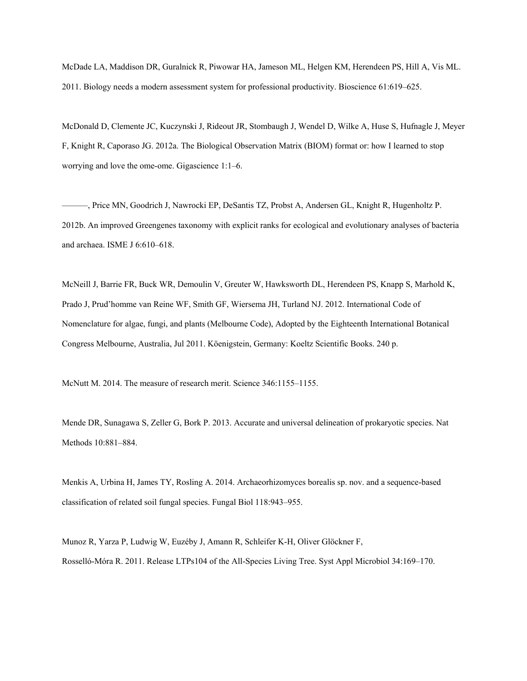McDade LA, Maddison DR, Guralnick R, Piwowar HA, Jameson ML, Helgen KM, Herendeen PS, Hill A, Vis ML. 2011. Biology needs a modern assessment system for professional productivity. Bioscience 61:619–625.

McDonald D, Clemente JC, Kuczynski J, Rideout JR, Stombaugh J, Wendel D, Wilke A, Huse S, Hufnagle J, Meyer F, Knight R, Caporaso JG. 2012a. The Biological Observation Matrix (BIOM) format or: how I learned to stop worrying and love the ome-ome. Gigascience 1:1–6.

———, Price MN, Goodrich J, Nawrocki EP, DeSantis TZ, Probst A, Andersen GL, Knight R, Hugenholtz P. 2012b. An improved Greengenes taxonomy with explicit ranks for ecological and evolutionary analyses of bacteria and archaea. ISME J 6:610–618.

McNeill J, Barrie FR, Buck WR, Demoulin V, Greuter W, Hawksworth DL, Herendeen PS, Knapp S, Marhold K, Prado J, Prud'homme van Reine WF, Smith GF, Wiersema JH, Turland NJ. 2012. International Code of Nomenclature for algae, fungi, and plants (Melbourne Code), Adopted by the Eighteenth International Botanical Congress Melbourne, Australia, Jul 2011. Köenigstein, Germany: Koeltz Scientific Books. 240 p.

McNutt M. 2014. The measure of research merit. Science 346:1155–1155.

Mende DR, Sunagawa S, Zeller G, Bork P. 2013. Accurate and universal delineation of prokaryotic species. Nat Methods 10:881–884.

Menkis A, Urbina H, James TY, Rosling A. 2014. Archaeorhizomyces borealis sp. nov. and a sequence-based classification of related soil fungal species. Fungal Biol 118:943–955.

Munoz R, Yarza P, Ludwig W, Euzéby J, Amann R, Schleifer K-H, Oliver Glöckner F, Rosselló-Móra R. 2011. Release LTPs104 of the All-Species Living Tree. Syst Appl Microbiol 34:169–170.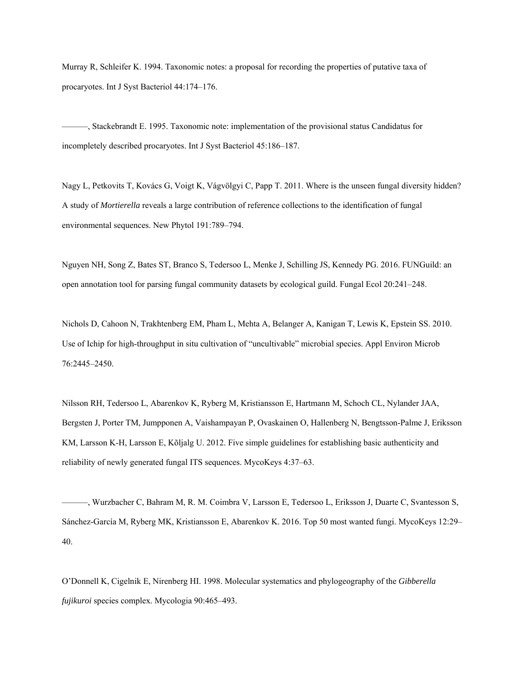Murray R, Schleifer K. 1994. Taxonomic notes: a proposal for recording the properties of putative taxa of procaryotes. Int J Syst Bacteriol 44:174–176.

———, Stackebrandt E. 1995. Taxonomic note: implementation of the provisional status Candidatus for incompletely described procaryotes. Int J Syst Bacteriol 45:186–187.

Nagy L, Petkovits T, Kovács G, Voigt K, Vágvölgyi C, Papp T. 2011. Where is the unseen fungal diversity hidden? A study of *Mortierella* reveals a large contribution of reference collections to the identification of fungal environmental sequences. New Phytol 191:789–794.

Nguyen NH, Song Z, Bates ST, Branco S, Tedersoo L, Menke J, Schilling JS, Kennedy PG. 2016. FUNGuild: an open annotation tool for parsing fungal community datasets by ecological guild. Fungal Ecol 20:241–248.

Nichols D, Cahoon N, Trakhtenberg EM, Pham L, Mehta A, Belanger A, Kanigan T, Lewis K, Epstein SS. 2010. Use of Ichip for high-throughput in situ cultivation of "uncultivable" microbial species. Appl Environ Microb 76:2445–2450.

Nilsson RH, Tedersoo L, Abarenkov K, Ryberg M, Kristiansson E, Hartmann M, Schoch CL, Nylander JAA, Bergsten J, Porter TM, Jumpponen A, Vaishampayan P, Ovaskainen O, Hallenberg N, Bengtsson-Palme J, Eriksson KM, Larsson K-H, Larsson E, Kõljalg U. 2012. Five simple guidelines for establishing basic authenticity and reliability of newly generated fungal ITS sequences. MycoKeys 4:37–63.

———, Wurzbacher C, Bahram M, R. M. Coimbra V, Larsson E, Tedersoo L, Eriksson J, Duarte C, Svantesson S, Sánchez-García M, Ryberg MK, Kristiansson E, Abarenkov K. 2016. Top 50 most wanted fungi. MycoKeys 12:29– 40.

O'Donnell K, Cigelnik E, Nirenberg HI. 1998. Molecular systematics and phylogeography of the *Gibberella fujikuroi* species complex. Mycologia 90:465–493.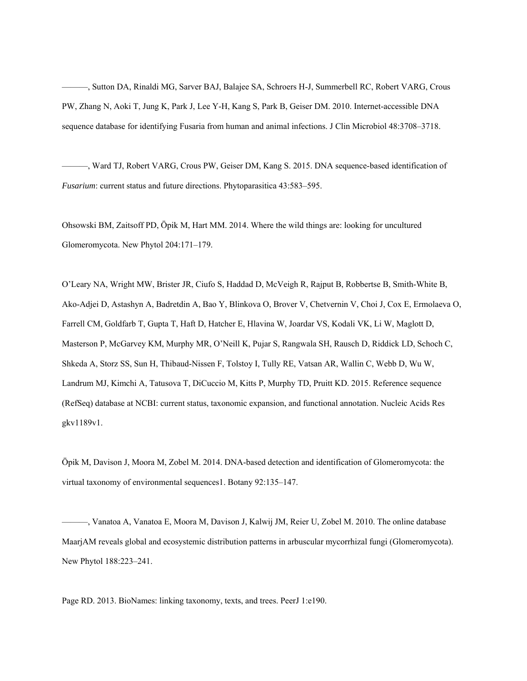———, Sutton DA, Rinaldi MG, Sarver BAJ, Balajee SA, Schroers H-J, Summerbell RC, Robert VARG, Crous PW, Zhang N, Aoki T, Jung K, Park J, Lee Y-H, Kang S, Park B, Geiser DM. 2010. Internet-accessible DNA sequence database for identifying Fusaria from human and animal infections. J Clin Microbiol 48:3708–3718.

———, Ward TJ, Robert VARG, Crous PW, Geiser DM, Kang S. 2015. DNA sequence-based identification of *Fusarium*: current status and future directions. Phytoparasitica 43:583–595.

Ohsowski BM, Zaitsoff PD, Öpik M, Hart MM. 2014. Where the wild things are: looking for uncultured Glomeromycota. New Phytol 204:171–179.

O'Leary NA, Wright MW, Brister JR, Ciufo S, Haddad D, McVeigh R, Rajput B, Robbertse B, Smith-White B, Ako-Adjei D, Astashyn A, Badretdin A, Bao Y, Blinkova O, Brover V, Chetvernin V, Choi J, Cox E, Ermolaeva O, Farrell CM, Goldfarb T, Gupta T, Haft D, Hatcher E, Hlavina W, Joardar VS, Kodali VK, Li W, Maglott D, Masterson P, McGarvey KM, Murphy MR, O'Neill K, Pujar S, Rangwala SH, Rausch D, Riddick LD, Schoch C, Shkeda A, Storz SS, Sun H, Thibaud-Nissen F, Tolstoy I, Tully RE, Vatsan AR, Wallin C, Webb D, Wu W, Landrum MJ, Kimchi A, Tatusova T, DiCuccio M, Kitts P, Murphy TD, Pruitt KD. 2015. Reference sequence (RefSeq) database at NCBI: current status, taxonomic expansion, and functional annotation. Nucleic Acids Res gkv1189v1.

Öpik M, Davison J, Moora M, Zobel M. 2014. DNA-based detection and identification of Glomeromycota: the virtual taxonomy of environmental sequences1. Botany 92:135–147.

———, Vanatoa A, Vanatoa E, Moora M, Davison J, Kalwij JM, Reier U, Zobel M. 2010. The online database MaarjAM reveals global and ecosystemic distribution patterns in arbuscular mycorrhizal fungi (Glomeromycota). New Phytol 188:223–241.

Page RD. 2013. BioNames: linking taxonomy, texts, and trees. PeerJ 1:e190.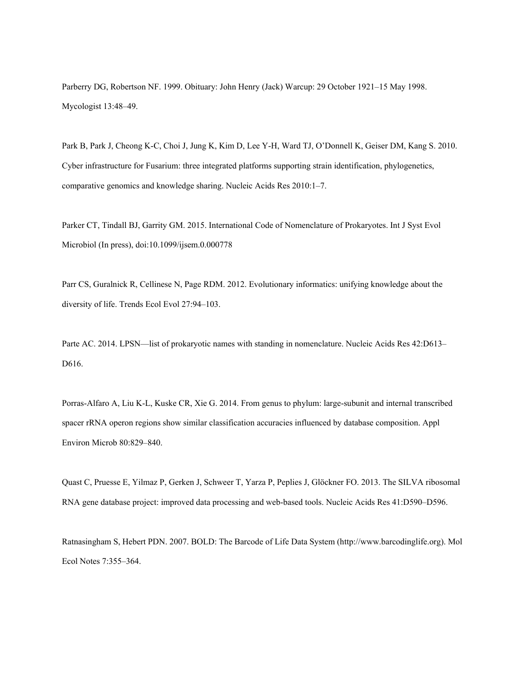Parberry DG, Robertson NF. 1999. Obituary: John Henry (Jack) Warcup: 29 October 1921–15 May 1998. Mycologist 13:48–49.

Park B, Park J, Cheong K-C, Choi J, Jung K, Kim D, Lee Y-H, Ward TJ, O'Donnell K, Geiser DM, Kang S. 2010. Cyber infrastructure for Fusarium: three integrated platforms supporting strain identification, phylogenetics, comparative genomics and knowledge sharing. Nucleic Acids Res 2010:1–7.

Parker CT, Tindall BJ, Garrity GM. 2015. International Code of Nomenclature of Prokaryotes. Int J Syst Evol Microbiol (In press), doi:10.1099/ijsem.0.000778

Parr CS, Guralnick R, Cellinese N, Page RDM. 2012. Evolutionary informatics: unifying knowledge about the diversity of life. Trends Ecol Evol 27:94–103.

Parte AC. 2014. LPSN—list of prokaryotic names with standing in nomenclature. Nucleic Acids Res 42:D613– D616.

Porras-Alfaro A, Liu K-L, Kuske CR, Xie G. 2014. From genus to phylum: large-subunit and internal transcribed spacer rRNA operon regions show similar classification accuracies influenced by database composition. Appl Environ Microb 80:829–840.

Quast C, Pruesse E, Yilmaz P, Gerken J, Schweer T, Yarza P, Peplies J, Glöckner FO. 2013. The SILVA ribosomal RNA gene database project: improved data processing and web-based tools. Nucleic Acids Res 41:D590–D596.

Ratnasingham S, Hebert PDN. 2007. BOLD: The Barcode of Life Data System (http://www.barcodinglife.org). Mol Ecol Notes 7:355–364.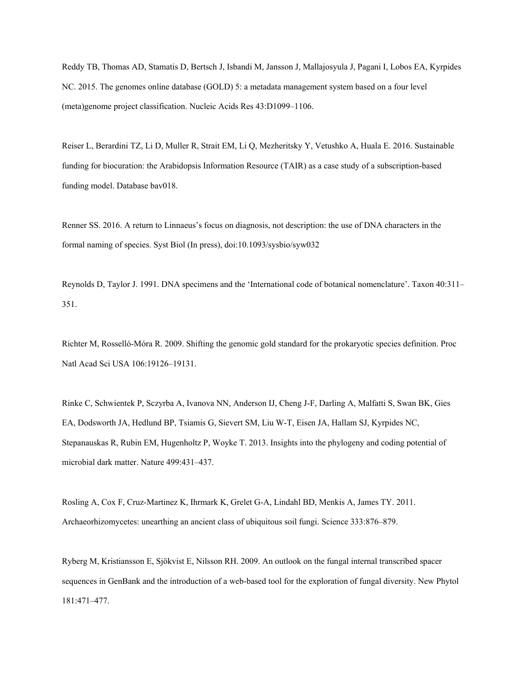Reddy TB, Thomas AD, Stamatis D, Bertsch J, Isbandi M, Jansson J, Mallajosyula J, Pagani I, Lobos EA, Kyrpides NC. 2015. The genomes online database (GOLD) 5: a metadata management system based on a four level (meta)genome project classification. Nucleic Acids Res 43:D1099–1106.

Reiser L, Berardini TZ, Li D, Muller R, Strait EM, Li Q, Mezheritsky Y, Vetushko A, Huala E. 2016. Sustainable funding for biocuration: the Arabidopsis Information Resource (TAIR) as a case study of a subscription-based funding model. Database bav018.

Renner SS. 2016. A return to Linnaeus's focus on diagnosis, not description: the use of DNA characters in the formal naming of species. Syst Biol (In press), doi:10.1093/sysbio/syw032

Reynolds D, Taylor J. 1991. DNA specimens and the 'International code of botanical nomenclature'. Taxon 40:311– 351.

Richter M, Rosselló-Móra R. 2009. Shifting the genomic gold standard for the prokaryotic species definition. Proc Natl Acad Sci USA 106:19126–19131.

Rinke C, Schwientek P, Sczyrba A, Ivanova NN, Anderson IJ, Cheng J-F, Darling A, Malfatti S, Swan BK, Gies EA, Dodsworth JA, Hedlund BP, Tsiamis G, Sievert SM, Liu W-T, Eisen JA, Hallam SJ, Kyrpides NC, Stepanauskas R, Rubin EM, Hugenholtz P, Woyke T. 2013. Insights into the phylogeny and coding potential of microbial dark matter. Nature 499:431–437.

Rosling A, Cox F, Cruz-Martinez K, Ihrmark K, Grelet G-A, Lindahl BD, Menkis A, James TY. 2011. Archaeorhizomycetes: unearthing an ancient class of ubiquitous soil fungi. Science 333:876–879.

Ryberg M, Kristiansson E, Sjökvist E, Nilsson RH. 2009. An outlook on the fungal internal transcribed spacer sequences in GenBank and the introduction of a web-based tool for the exploration of fungal diversity. New Phytol 181:471–477.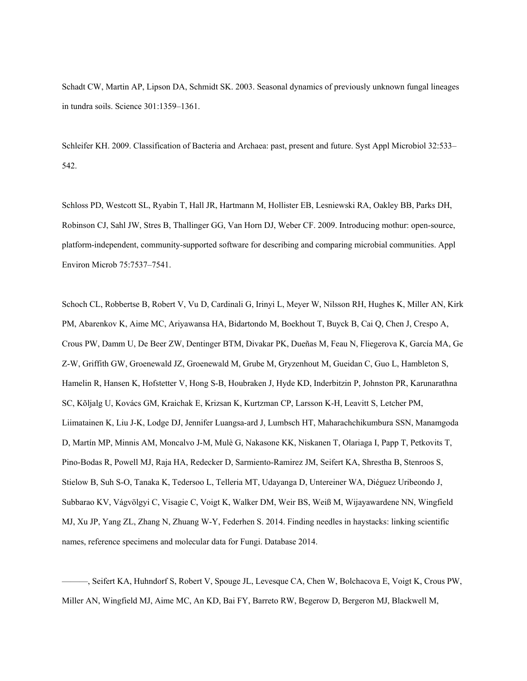Schadt CW, Martin AP, Lipson DA, Schmidt SK. 2003. Seasonal dynamics of previously unknown fungal lineages in tundra soils. Science 301:1359–1361.

Schleifer KH. 2009. Classification of Bacteria and Archaea: past, present and future. Syst Appl Microbiol 32:533– 542.

Schloss PD, Westcott SL, Ryabin T, Hall JR, Hartmann M, Hollister EB, Lesniewski RA, Oakley BB, Parks DH, Robinson CJ, Sahl JW, Stres B, Thallinger GG, Van Horn DJ, Weber CF. 2009. Introducing mothur: open-source, platform-independent, community-supported software for describing and comparing microbial communities. Appl Environ Microb 75:7537–7541.

Schoch CL, Robbertse B, Robert V, Vu D, Cardinali G, Irinyi L, Meyer W, Nilsson RH, Hughes K, Miller AN, Kirk PM, Abarenkov K, Aime MC, Ariyawansa HA, Bidartondo M, Boekhout T, Buyck B, Cai Q, Chen J, Crespo A, Crous PW, Damm U, De Beer ZW, Dentinger BTM, Divakar PK, Dueñas M, Feau N, Fliegerova K, García MA, Ge Z-W, Griffith GW, Groenewald JZ, Groenewald M, Grube M, Gryzenhout M, Gueidan C, Guo L, Hambleton S, Hamelin R, Hansen K, Hofstetter V, Hong S-B, Houbraken J, Hyde KD, Inderbitzin P, Johnston PR, Karunarathna SC, Kõljalg U, Kovács GM, Kraichak E, Krizsan K, Kurtzman CP, Larsson K-H, Leavitt S, Letcher PM, Liimatainen K, Liu J-K, Lodge DJ, Jennifer Luangsa-ard J, Lumbsch HT, Maharachchikumbura SSN, Manamgoda D, Martín MP, Minnis AM, Moncalvo J-M, Mulè G, Nakasone KK, Niskanen T, Olariaga I, Papp T, Petkovits T, Pino-Bodas R, Powell MJ, Raja HA, Redecker D, Sarmiento-Ramirez JM, Seifert KA, Shrestha B, Stenroos S, Stielow B, Suh S-O, Tanaka K, Tedersoo L, Telleria MT, Udayanga D, Untereiner WA, Diéguez Uribeondo J, Subbarao KV, Vágvölgyi C, Visagie C, Voigt K, Walker DM, Weir BS, Weiß M, Wijayawardene NN, Wingfield MJ, Xu JP, Yang ZL, Zhang N, Zhuang W-Y, Federhen S. 2014. Finding needles in haystacks: linking scientific names, reference specimens and molecular data for Fungi. Database 2014.

———, Seifert KA, Huhndorf S, Robert V, Spouge JL, Levesque CA, Chen W, Bolchacova E, Voigt K, Crous PW, Miller AN, Wingfield MJ, Aime MC, An KD, Bai FY, Barreto RW, Begerow D, Bergeron MJ, Blackwell M,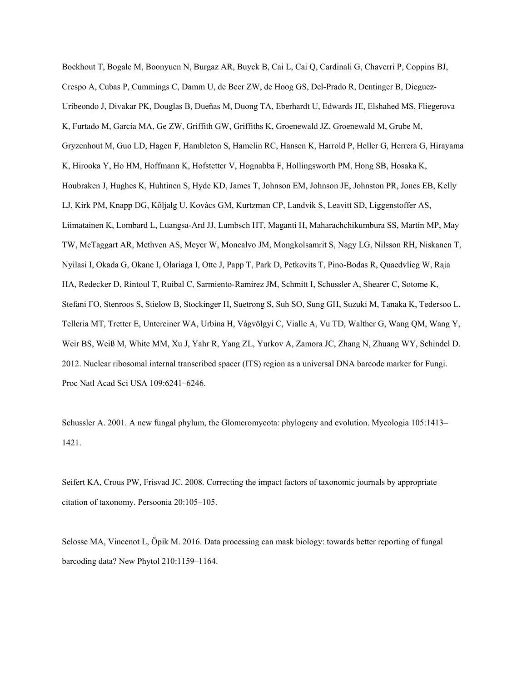Boekhout T, Bogale M, Boonyuen N, Burgaz AR, Buyck B, Cai L, Cai Q, Cardinali G, Chaverri P, Coppins BJ, Crespo A, Cubas P, Cummings C, Damm U, de Beer ZW, de Hoog GS, Del-Prado R, Dentinger B, Dieguez-Uribeondo J, Divakar PK, Douglas B, Dueñas M, Duong TA, Eberhardt U, Edwards JE, Elshahed MS, Fliegerova K, Furtado M, García MA, Ge ZW, Griffith GW, Griffiths K, Groenewald JZ, Groenewald M, Grube M, Gryzenhout M, Guo LD, Hagen F, Hambleton S, Hamelin RC, Hansen K, Harrold P, Heller G, Herrera G, Hirayama K, Hirooka Y, Ho HM, Hoffmann K, Hofstetter V, Hognabba F, Hollingsworth PM, Hong SB, Hosaka K, Houbraken J, Hughes K, Huhtinen S, Hyde KD, James T, Johnson EM, Johnson JE, Johnston PR, Jones EB, Kelly LJ, Kirk PM, Knapp DG, Kõljalg U, Kovács GM, Kurtzman CP, Landvik S, Leavitt SD, Liggenstoffer AS, Liimatainen K, Lombard L, Luangsa-Ard JJ, Lumbsch HT, Maganti H, Maharachchikumbura SS, Martín MP, May TW, McTaggart AR, Methven AS, Meyer W, Moncalvo JM, Mongkolsamrit S, Nagy LG, Nilsson RH, Niskanen T, Nyilasi I, Okada G, Okane I, Olariaga I, Otte J, Papp T, Park D, Petkovits T, Pino-Bodas R, Quaedvlieg W, Raja HA, Redecker D, Rintoul T, Ruibal C, Sarmiento-Ramirez JM, Schmitt I, Schussler A, Shearer C, Sotome K, Stefani FO, Stenroos S, Stielow B, Stockinger H, Suetrong S, Suh SO, Sung GH, Suzuki M, Tanaka K, Tedersoo L, Telleria MT, Tretter E, Untereiner WA, Urbina H, Vágvölgyi C, Vialle A, Vu TD, Walther G, Wang QM, Wang Y, Weir BS, Weiß M, White MM, Xu J, Yahr R, Yang ZL, Yurkov A, Zamora JC, Zhang N, Zhuang WY, Schindel D. 2012. Nuclear ribosomal internal transcribed spacer (ITS) region as a universal DNA barcode marker for Fungi. Proc Natl Acad Sci USA 109:6241–6246.

Schussler A. 2001. A new fungal phylum, the Glomeromycota: phylogeny and evolution. Mycologia 105:1413– 1421.

Seifert KA, Crous PW, Frisvad JC. 2008. Correcting the impact factors of taxonomic journals by appropriate citation of taxonomy. Persoonia 20:105–105.

Selosse MA, Vincenot L, Öpik M. 2016. Data processing can mask biology: towards better reporting of fungal barcoding data? New Phytol 210:1159–1164.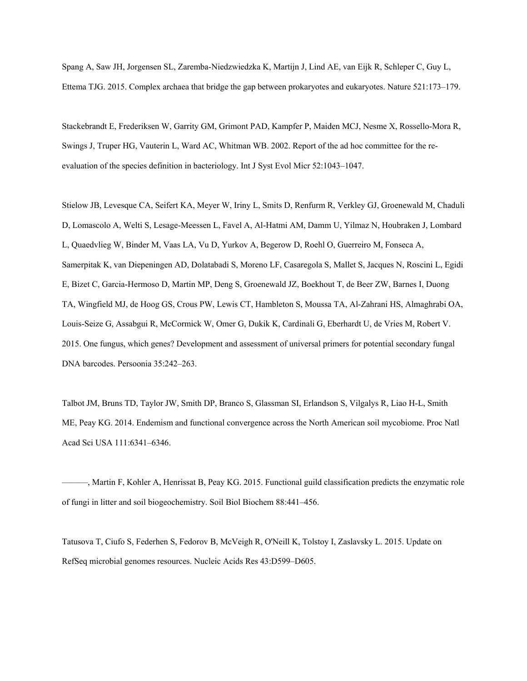Spang A, Saw JH, Jorgensen SL, Zaremba-Niedzwiedzka K, Martijn J, Lind AE, van Eijk R, Schleper C, Guy L, Ettema TJG. 2015. Complex archaea that bridge the gap between prokaryotes and eukaryotes. Nature 521:173–179.

Stackebrandt E, Frederiksen W, Garrity GM, Grimont PAD, Kampfer P, Maiden MCJ, Nesme X, Rossello-Mora R, Swings J, Truper HG, Vauterin L, Ward AC, Whitman WB. 2002. Report of the ad hoc committee for the reevaluation of the species definition in bacteriology. Int J Syst Evol Micr 52:1043–1047.

Stielow JB, Levesque CA, Seifert KA, Meyer W, Iriny L, Smits D, Renfurm R, Verkley GJ, Groenewald M, Chaduli D, Lomascolo A, Welti S, Lesage-Meessen L, Favel A, Al-Hatmi AM, Damm U, Yilmaz N, Houbraken J, Lombard L, Quaedvlieg W, Binder M, Vaas LA, Vu D, Yurkov A, Begerow D, Roehl O, Guerreiro M, Fonseca A, Samerpitak K, van Diepeningen AD, Dolatabadi S, Moreno LF, Casaregola S, Mallet S, Jacques N, Roscini L, Egidi E, Bizet C, Garcia-Hermoso D, Martin MP, Deng S, Groenewald JZ, Boekhout T, de Beer ZW, Barnes I, Duong TA, Wingfield MJ, de Hoog GS, Crous PW, Lewis CT, Hambleton S, Moussa TA, Al-Zahrani HS, Almaghrabi OA, Louis-Seize G, Assabgui R, McCormick W, Omer G, Dukik K, Cardinali G, Eberhardt U, de Vries M, Robert V. 2015. One fungus, which genes? Development and assessment of universal primers for potential secondary fungal DNA barcodes. Persoonia 35:242–263.

Talbot JM, Bruns TD, Taylor JW, Smith DP, Branco S, Glassman SI, Erlandson S, Vilgalys R, Liao H-L, Smith ME, Peay KG. 2014. Endemism and functional convergence across the North American soil mycobiome. Proc Natl Acad Sci USA 111:6341–6346.

———, Martin F, Kohler A, Henrissat B, Peay KG. 2015. Functional guild classification predicts the enzymatic role of fungi in litter and soil biogeochemistry. Soil Biol Biochem 88:441–456.

Tatusova T, Ciufo S, Federhen S, Fedorov B, McVeigh R, O'Neill K, Tolstoy I, Zaslavsky L. 2015. Update on RefSeq microbial genomes resources. Nucleic Acids Res 43:D599–D605.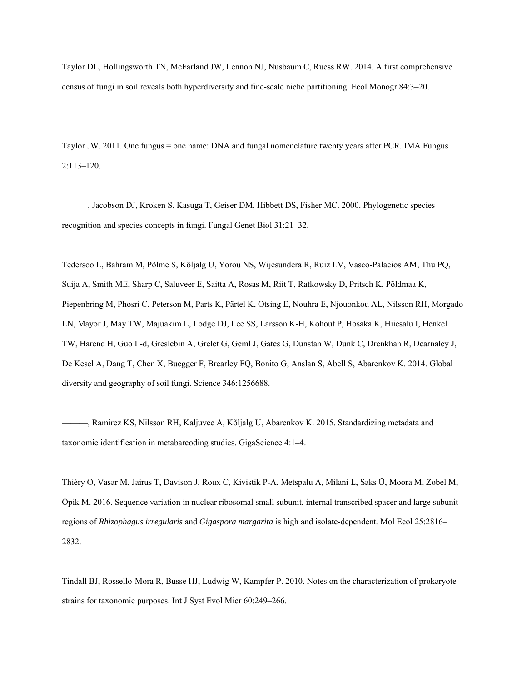Taylor DL, Hollingsworth TN, McFarland JW, Lennon NJ, Nusbaum C, Ruess RW. 2014. A first comprehensive census of fungi in soil reveals both hyperdiversity and fine-scale niche partitioning. Ecol Monogr 84:3–20.

Taylor JW. 2011. One fungus = one name: DNA and fungal nomenclature twenty years after PCR. IMA Fungus 2:113–120.

———, Jacobson DJ, Kroken S, Kasuga T, Geiser DM, Hibbett DS, Fisher MC. 2000. Phylogenetic species recognition and species concepts in fungi. Fungal Genet Biol 31:21–32.

Tedersoo L, Bahram M, Põlme S, Kõljalg U, Yorou NS, Wijesundera R, Ruiz LV, Vasco-Palacios AM, Thu PQ, Suija A, Smith ME, Sharp C, Saluveer E, Saitta A, Rosas M, Riit T, Ratkowsky D, Pritsch K, Põldmaa K, Piepenbring M, Phosri C, Peterson M, Parts K, Pärtel K, Otsing E, Nouhra E, Njouonkou AL, Nilsson RH, Morgado LN, Mayor J, May TW, Majuakim L, Lodge DJ, Lee SS, Larsson K-H, Kohout P, Hosaka K, Hiiesalu I, Henkel TW, Harend H, Guo L-d, Greslebin A, Grelet G, Geml J, Gates G, Dunstan W, Dunk C, Drenkhan R, Dearnaley J, De Kesel A, Dang T, Chen X, Buegger F, Brearley FQ, Bonito G, Anslan S, Abell S, Abarenkov K. 2014. Global diversity and geography of soil fungi. Science 346:1256688.

———, Ramirez KS, Nilsson RH, Kaljuvee A, Kõljalg U, Abarenkov K. 2015. Standardizing metadata and taxonomic identification in metabarcoding studies. GigaScience 4:1–4.

Thiéry O, Vasar M, Jairus T, Davison J, Roux C, Kivistik P-A, Metspalu A, Milani L, Saks Ü, Moora M, Zobel M, Öpik M. 2016. Sequence variation in nuclear ribosomal small subunit, internal transcribed spacer and large subunit regions of *Rhizophagus irregularis* and *Gigaspora margarita* is high and isolate-dependent. Mol Ecol 25:2816– 2832.

Tindall BJ, Rossello-Mora R, Busse HJ, Ludwig W, Kampfer P. 2010. Notes on the characterization of prokaryote strains for taxonomic purposes. Int J Syst Evol Micr 60:249–266.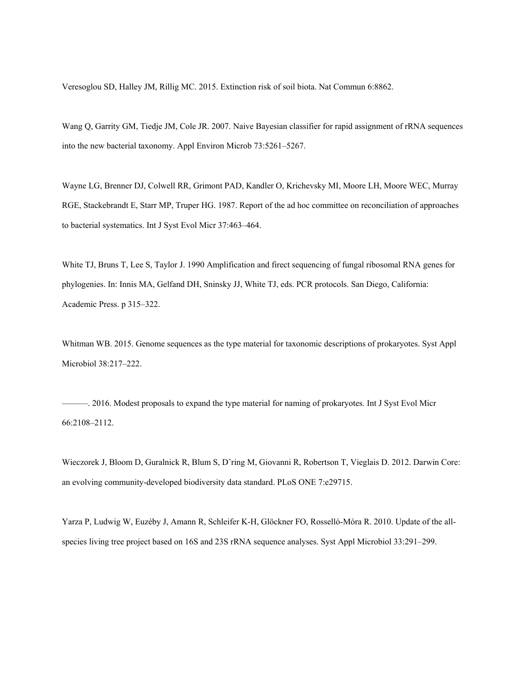Veresoglou SD, Halley JM, Rillig MC. 2015. Extinction risk of soil biota. Nat Commun 6:8862.

Wang Q, Garrity GM, Tiedje JM, Cole JR. 2007. Naive Bayesian classifier for rapid assignment of rRNA sequences into the new bacterial taxonomy. Appl Environ Microb 73:5261–5267.

Wayne LG, Brenner DJ, Colwell RR, Grimont PAD, Kandler O, Krichevsky MI, Moore LH, Moore WEC, Murray RGE, Stackebrandt E, Starr MP, Truper HG. 1987. Report of the ad hoc committee on reconciliation of approaches to bacterial systematics. Int J Syst Evol Micr 37:463–464.

White TJ, Bruns T, Lee S, Taylor J. 1990 Amplification and firect sequencing of fungal ribosomal RNA genes for phylogenies. In: Innis MA, Gelfand DH, Sninsky JJ, White TJ, eds. PCR protocols. San Diego, California: Academic Press. p 315–322.

Whitman WB. 2015. Genome sequences as the type material for taxonomic descriptions of prokaryotes. Syst Appl Microbiol 38:217–222.

———. 2016. Modest proposals to expand the type material for naming of prokaryotes. Int J Syst Evol Micr 66:2108–2112.

Wieczorek J, Bloom D, Guralnick R, Blum S, Dˆring M, Giovanni R, Robertson T, Vieglais D. 2012. Darwin Core: an evolving community-developed biodiversity data standard. PLoS ONE 7:e29715.

Yarza P, Ludwig W, Euzéby J, Amann R, Schleifer K-H, Glöckner FO, Rosselló-Móra R. 2010. Update of the allspecies living tree project based on 16S and 23S rRNA sequence analyses. Syst Appl Microbiol 33:291–299.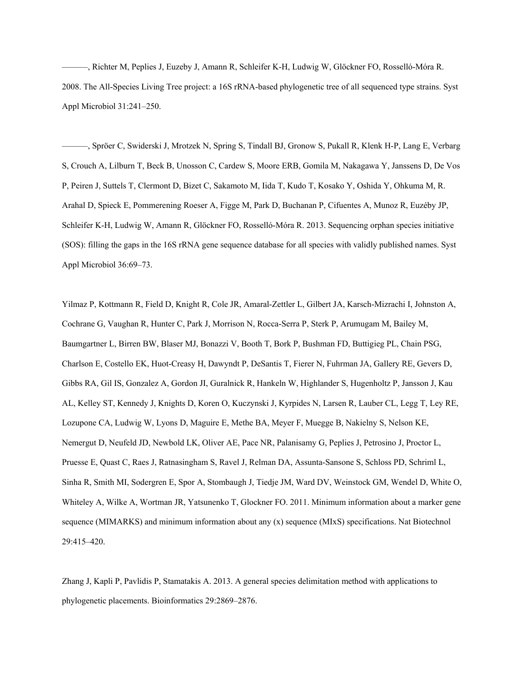———, Richter M, Peplies J, Euzeby J, Amann R, Schleifer K-H, Ludwig W, Glöckner FO, Rosselló-Móra R. 2008. The All-Species Living Tree project: a 16S rRNA-based phylogenetic tree of all sequenced type strains. Syst Appl Microbiol 31:241–250.

———, Spröer C, Swiderski J, Mrotzek N, Spring S, Tindall BJ, Gronow S, Pukall R, Klenk H-P, Lang E, Verbarg S, Crouch A, Lilburn T, Beck B, Unosson C, Cardew S, Moore ERB, Gomila M, Nakagawa Y, Janssens D, De Vos P, Peiren J, Suttels T, Clermont D, Bizet C, Sakamoto M, Iida T, Kudo T, Kosako Y, Oshida Y, Ohkuma M, R. Arahal D, Spieck E, Pommerening Roeser A, Figge M, Park D, Buchanan P, Cifuentes A, Munoz R, Euzéby JP, Schleifer K-H, Ludwig W, Amann R, Glöckner FO, Rosselló-Móra R. 2013. Sequencing orphan species initiative (SOS): filling the gaps in the 16S rRNA gene sequence database for all species with validly published names. Syst Appl Microbiol 36:69–73.

Yilmaz P, Kottmann R, Field D, Knight R, Cole JR, Amaral-Zettler L, Gilbert JA, Karsch-Mizrachi I, Johnston A, Cochrane G, Vaughan R, Hunter C, Park J, Morrison N, Rocca-Serra P, Sterk P, Arumugam M, Bailey M, Baumgartner L, Birren BW, Blaser MJ, Bonazzi V, Booth T, Bork P, Bushman FD, Buttigieg PL, Chain PSG, Charlson E, Costello EK, Huot-Creasy H, Dawyndt P, DeSantis T, Fierer N, Fuhrman JA, Gallery RE, Gevers D, Gibbs RA, Gil IS, Gonzalez A, Gordon JI, Guralnick R, Hankeln W, Highlander S, Hugenholtz P, Jansson J, Kau AL, Kelley ST, Kennedy J, Knights D, Koren O, Kuczynski J, Kyrpides N, Larsen R, Lauber CL, Legg T, Ley RE, Lozupone CA, Ludwig W, Lyons D, Maguire E, Methe BA, Meyer F, Muegge B, Nakielny S, Nelson KE, Nemergut D, Neufeld JD, Newbold LK, Oliver AE, Pace NR, Palanisamy G, Peplies J, Petrosino J, Proctor L, Pruesse E, Quast C, Raes J, Ratnasingham S, Ravel J, Relman DA, Assunta-Sansone S, Schloss PD, Schriml L, Sinha R, Smith MI, Sodergren E, Spor A, Stombaugh J, Tiedje JM, Ward DV, Weinstock GM, Wendel D, White O, Whiteley A, Wilke A, Wortman JR, Yatsunenko T, Glockner FO. 2011. Minimum information about a marker gene sequence (MIMARKS) and minimum information about any (x) sequence (MIxS) specifications. Nat Biotechnol 29:415–420.

Zhang J, Kapli P, Pavlidis P, Stamatakis A. 2013. A general species delimitation method with applications to phylogenetic placements. Bioinformatics 29:2869–2876.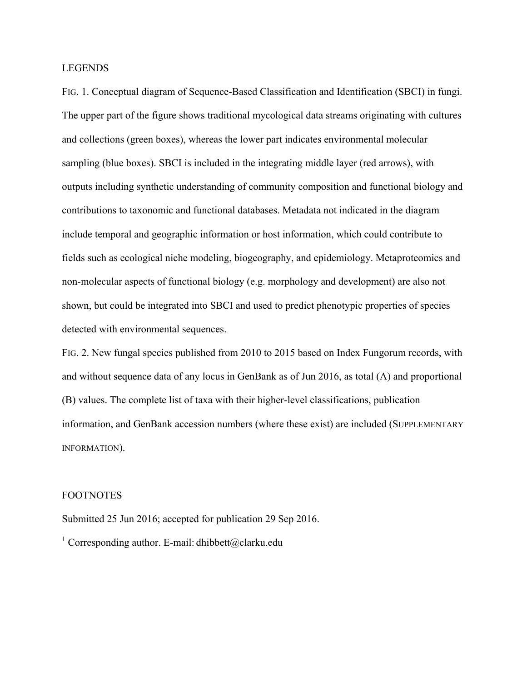# LEGENDS

FIG. 1. Conceptual diagram of Sequence-Based Classification and Identification (SBCI) in fungi. The upper part of the figure shows traditional mycological data streams originating with cultures and collections (green boxes), whereas the lower part indicates environmental molecular sampling (blue boxes). SBCI is included in the integrating middle layer (red arrows), with outputs including synthetic understanding of community composition and functional biology and contributions to taxonomic and functional databases. Metadata not indicated in the diagram include temporal and geographic information or host information, which could contribute to fields such as ecological niche modeling, biogeography, and epidemiology. Metaproteomics and non-molecular aspects of functional biology (e.g. morphology and development) are also not shown, but could be integrated into SBCI and used to predict phenotypic properties of species detected with environmental sequences.

FIG. 2. New fungal species published from 2010 to 2015 based on Index Fungorum records, with and without sequence data of any locus in GenBank as of Jun 2016, as total (A) and proportional (B) values. The complete list of taxa with their higher-level classifications, publication information, and GenBank accession numbers (where these exist) are included (SUPPLEMENTARY INFORMATION).

## FOOTNOTES

Submitted 25 Jun 2016; accepted for publication 29 Sep 2016.

<sup>1</sup> Corresponding author. E-mail: dhibbett@clarku.edu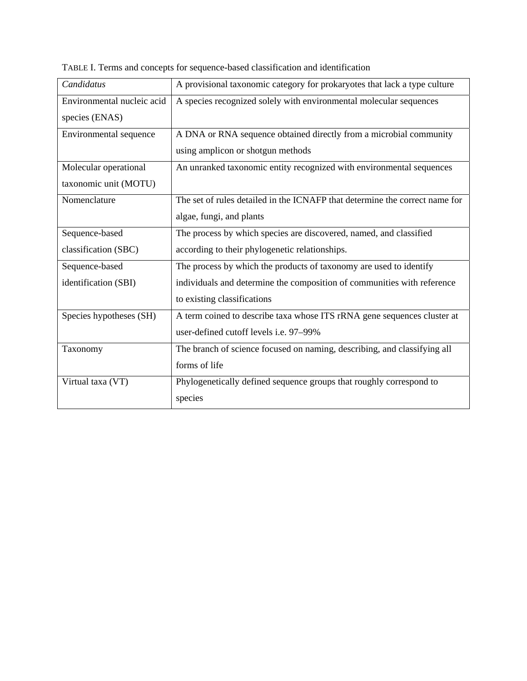| Candidatus                 | A provisional taxonomic category for prokaryotes that lack a type culture   |
|----------------------------|-----------------------------------------------------------------------------|
| Environmental nucleic acid | A species recognized solely with environmental molecular sequences          |
| species (ENAS)             |                                                                             |
| Environmental sequence     | A DNA or RNA sequence obtained directly from a microbial community          |
|                            | using amplicon or shotgun methods                                           |
| Molecular operational      | An unranked taxonomic entity recognized with environmental sequences        |
| taxonomic unit (MOTU)      |                                                                             |
| Nomenclature               | The set of rules detailed in the ICNAFP that determine the correct name for |
|                            | algae, fungi, and plants                                                    |
| Sequence-based             | The process by which species are discovered, named, and classified          |
| classification (SBC)       | according to their phylogenetic relationships.                              |
| Sequence-based             | The process by which the products of taxonomy are used to identify          |
| identification (SBI)       | individuals and determine the composition of communities with reference     |
|                            | to existing classifications                                                 |
| Species hypotheses (SH)    | A term coined to describe taxa whose ITS rRNA gene sequences cluster at     |
|                            | user-defined cutoff levels <i>i.e.</i> 97–99%                               |
| Taxonomy                   | The branch of science focused on naming, describing, and classifying all    |
|                            | forms of life                                                               |
| Virtual taxa (VT)          | Phylogenetically defined sequence groups that roughly correspond to         |
|                            | species                                                                     |

TABLE I. Terms and concepts for sequence-based classification and identification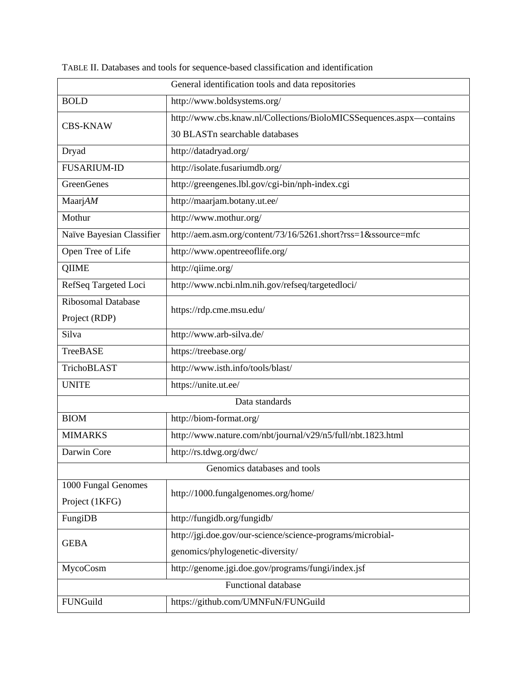| General identification tools and data repositories |                                                                     |  |
|----------------------------------------------------|---------------------------------------------------------------------|--|
| <b>BOLD</b>                                        | http://www.boldsystems.org/                                         |  |
| <b>CBS-KNAW</b>                                    | http://www.cbs.knaw.nl/Collections/BioloMICSSequences.aspx—contains |  |
|                                                    | 30 BLASTn searchable databases                                      |  |
| Dryad                                              | http://datadryad.org/                                               |  |
| <b>FUSARIUM-ID</b>                                 | http://isolate.fusariumdb.org/                                      |  |
| <b>GreenGenes</b>                                  | http://greengenes.lbl.gov/cgi-bin/nph-index.cgi                     |  |
| MaarjAM                                            | http://maarjam.botany.ut.ee/                                        |  |
| Mothur                                             | http://www.mothur.org/                                              |  |
| Naïve Bayesian Classifier                          | http://aem.asm.org/content/73/16/5261.short?rss=1&ssource=mfc       |  |
| Open Tree of Life                                  | http://www.opentreeoflife.org/                                      |  |
| <b>QIIME</b>                                       | http://qiime.org/                                                   |  |
| RefSeq Targeted Loci                               | http://www.ncbi.nlm.nih.gov/refseq/targetedloci/                    |  |
| <b>Ribosomal Database</b>                          | https://rdp.cme.msu.edu/                                            |  |
| Project (RDP)                                      |                                                                     |  |
| Silva                                              | http://www.arb-silva.de/                                            |  |
| TreeBASE                                           | https://treebase.org/                                               |  |
| TrichoBLAST                                        | http://www.isth.info/tools/blast/                                   |  |
| <b>UNITE</b>                                       | https://unite.ut.ee/                                                |  |
| Data standards                                     |                                                                     |  |
| <b>BIOM</b>                                        | http://biom-format.org/                                             |  |
| <b>MIMARKS</b>                                     | http://www.nature.com/nbt/journal/v29/n5/full/nbt.1823.html         |  |
| Darwin Core                                        | http://rs.tdwg.org/dwc/                                             |  |
| Genomics databases and tools                       |                                                                     |  |
| 1000 Fungal Genomes                                | http://1000.fungalgenomes.org/home/                                 |  |
| Project (1KFG)                                     |                                                                     |  |
| FungiDB                                            | http://fungidb.org/fungidb/                                         |  |
| <b>GEBA</b>                                        | http://jgi.doe.gov/our-science/science-programs/microbial-          |  |
|                                                    | genomics/phylogenetic-diversity/                                    |  |
| MycoCosm                                           | http://genome.jgi.doe.gov/programs/fungi/index.jsf                  |  |
|                                                    | Functional database                                                 |  |
| FUNGuild                                           | https://github.com/UMNFuN/FUNGuild                                  |  |

TABLE II. Databases and tools for sequence-based classification and identification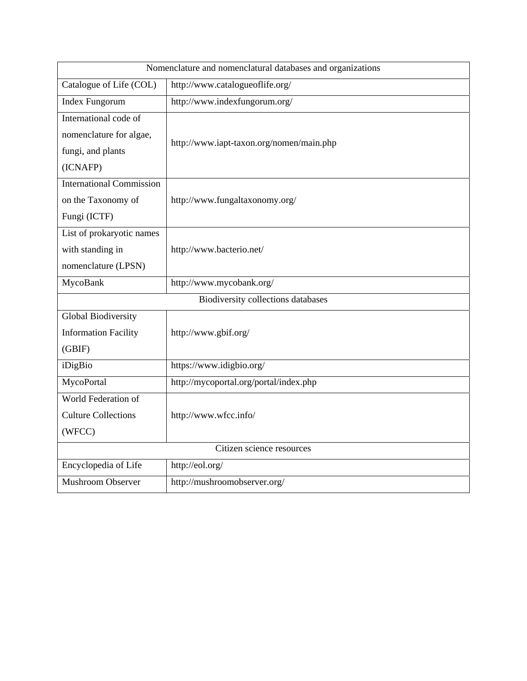| Nomenclature and nomenclatural databases and organizations |                                          |  |
|------------------------------------------------------------|------------------------------------------|--|
| Catalogue of Life (COL)                                    | http://www.catalogueoflife.org/          |  |
| Index Fungorum                                             | http://www.indexfungorum.org/            |  |
| International code of                                      |                                          |  |
| nomenclature for algae,                                    | http://www.iapt-taxon.org/nomen/main.php |  |
| fungi, and plants                                          |                                          |  |
| (ICNAFP)                                                   |                                          |  |
| <b>International Commission</b>                            |                                          |  |
| on the Taxonomy of                                         | http://www.fungaltaxonomy.org/           |  |
| Fungi (ICTF)                                               |                                          |  |
| List of prokaryotic names                                  |                                          |  |
| with standing in                                           | http://www.bacterio.net/                 |  |
| nomenclature (LPSN)                                        |                                          |  |
| MycoBank                                                   | http://www.mycobank.org/                 |  |
| Biodiversity collections databases                         |                                          |  |
| Global Biodiversity                                        |                                          |  |
| <b>Information Facility</b>                                | http://www.gbif.org/                     |  |
| (GBIF)                                                     |                                          |  |
| iDigBio                                                    | https://www.idigbio.org/                 |  |
| MycoPortal                                                 | http://mycoportal.org/portal/index.php   |  |
| World Federation of                                        |                                          |  |
| <b>Culture Collections</b>                                 | http://www.wfcc.info/                    |  |
| (WFCC)                                                     |                                          |  |
| Citizen science resources                                  |                                          |  |
| Encyclopedia of Life                                       | http://eol.org/                          |  |
| <b>Mushroom Observer</b>                                   | http://mushroomobserver.org/             |  |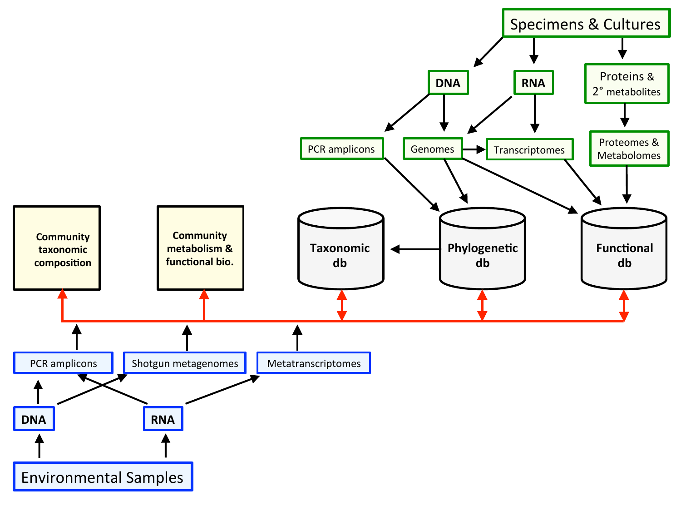